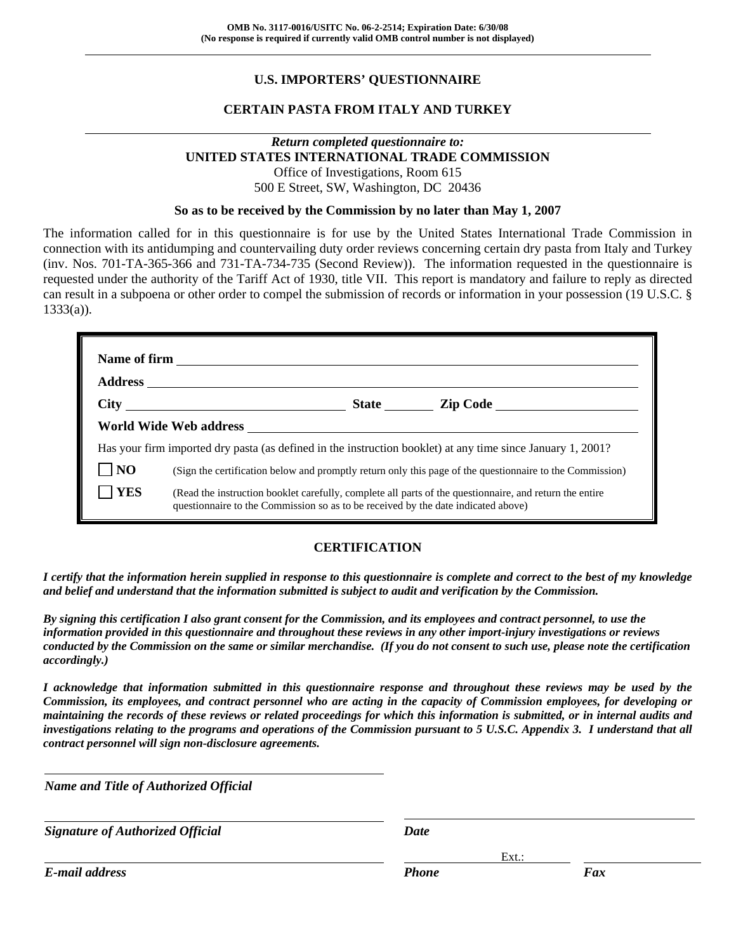# **U.S. IMPORTERS' QUESTIONNAIRE**

# **CERTAIN PASTA FROM ITALY AND TURKEY**

#### *Return completed questionnaire to:*  **UNITED STATES INTERNATIONAL TRADE COMMISSION**  Office of Investigations, Room 615 500 E Street, SW, Washington, DC 20436

#### **So as to be received by the Commission by no later than May 1, 2007**

The information called for in this questionnaire is for use by the United States International Trade Commission in connection with its antidumping and countervailing duty order reviews concerning certain dry pasta from Italy and Turkey (inv. Nos. 701-TA-365-366 and 731-TA-734-735 (Second Review)). The information requested in the questionnaire is requested under the authority of the Tariff Act of 1930, title VII. This report is mandatory and failure to reply as directed can result in a subpoena or other order to compel the submission of records or information in your possession (19 U.S.C. § 1333(a)).

|                | Has your firm imported dry pasta (as defined in the instruction booklet) at any time since January 1, 2001?                                                                                  |                                                                                                          |
|----------------|----------------------------------------------------------------------------------------------------------------------------------------------------------------------------------------------|----------------------------------------------------------------------------------------------------------|
| N <sub>O</sub> |                                                                                                                                                                                              | (Sign the certification below and promptly return only this page of the questionnaire to the Commission) |
| <b>YES</b>     | (Read the instruction booklet carefully, complete all parts of the questionnaire, and return the entire<br>questionnaire to the Commission so as to be received by the date indicated above) |                                                                                                          |

#### **CERTIFICATION**

*I certify that the information herein supplied in response to this questionnaire is complete and correct to the best of my knowledge and belief and understand that the information submitted is subject to audit and verification by the Commission.* 

*By signing this certification I also grant consent for the Commission, and its employees and contract personnel, to use the information provided in this questionnaire and throughout these reviews in any other import-injury investigations or reviews conducted by the Commission on the same or similar merchandise. (If you do not consent to such use, please note the certification accordingly.)* 

*I acknowledge that information submitted in this questionnaire response and throughout these reviews may be used by the Commission, its employees, and contract personnel who are acting in the capacity of Commission employees, for developing or maintaining the records of these reviews or related proceedings for which this information is submitted, or in internal audits and investigations relating to the programs and operations of the Commission pursuant to 5 U.S.C. Appendix 3. I understand that all contract personnel will sign non-disclosure agreements.* 

Ext.: Ext.: Ext.: Ext.: Ext.: Ext.: Ext.: Ext.: Ext.: Ext.: Ext.: Ext.: Ext.: Ext.: Ext.: Ext.: Ext.: Ext.: Ext.: Ext.: Ext.: Ext.: Ext.: Ext.: Ext.: Ext.: Ext.: Ext.: Ext.: Ext.: Ext.: Ext.: Ext.: Ext.: Ext.: Ext.: Ext.:

*Name and Title of Authorized Official*

*Signature of Authorized Official Date*

*E-mail address Phone Fax*

l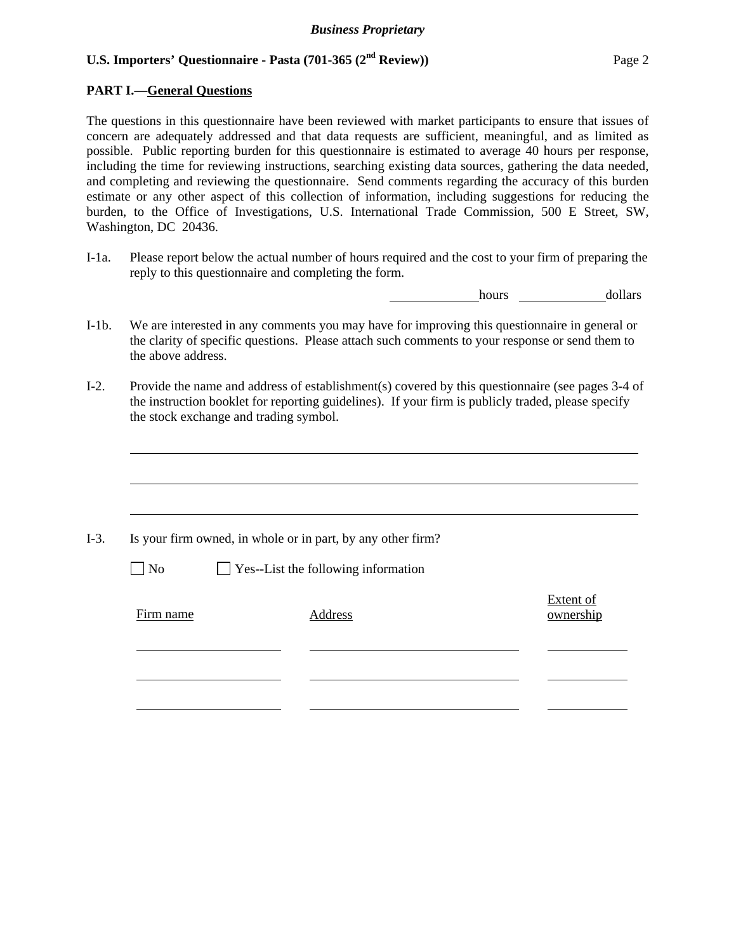### **PART I.—General Questions**

The questions in this questionnaire have been reviewed with market participants to ensure that issues of concern are adequately addressed and that data requests are sufficient, meaningful, and as limited as possible. Public reporting burden for this questionnaire is estimated to average 40 hours per response, including the time for reviewing instructions, searching existing data sources, gathering the data needed, and completing and reviewing the questionnaire. Send comments regarding the accuracy of this burden estimate or any other aspect of this collection of information, including suggestions for reducing the burden, to the Office of Investigations, U.S. International Trade Commission, 500 E Street, SW, Washington, DC 20436.

I-1a. Please report below the actual number of hours required and the cost to your firm of preparing the reply to this questionnaire and completing the form.

hours **dollars** 

- I-1b. We are interested in any comments you may have for improving this questionnaire in general or the clarity of specific questions. Please attach such comments to your response or send them to the above address.
- I-2. Provide the name and address of establishment(s) covered by this questionnaire (see pages 3-4 of the instruction booklet for reporting guidelines). If your firm is publicly traded, please specify the stock exchange and trading symbol.

|           | Is your firm owned, in whole or in part, by any other firm? |                               |
|-----------|-------------------------------------------------------------|-------------------------------|
| $\Box$ No | $\Box$ Yes--List the following information                  |                               |
| Firm name | Address                                                     | <b>Extent of</b><br>ownership |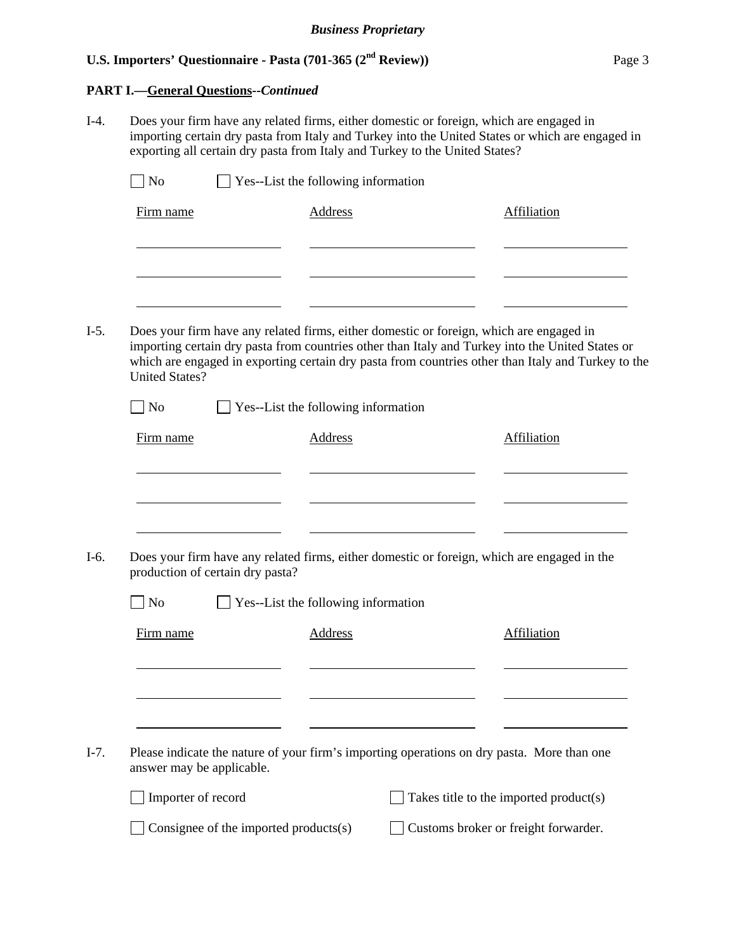# **PART I.—General Questions--***Continued*

I-4. Does your firm have any related firms, either domestic or foreign, which are engaged in importing certain dry pasta from Italy and Turkey into the United States or which are engaged in exporting all certain dry pasta from Italy and Turkey to the United States?

| Firm name                        | <b>Address</b>                                                                             | Affiliation                                                                                                                                                                                            |
|----------------------------------|--------------------------------------------------------------------------------------------|--------------------------------------------------------------------------------------------------------------------------------------------------------------------------------------------------------|
|                                  |                                                                                            |                                                                                                                                                                                                        |
| <b>United States?</b>            | Does your firm have any related firms, either domestic or foreign, which are engaged in    | importing certain dry pasta from countries other than Italy and Turkey into the United States or<br>which are engaged in exporting certain dry pasta from countries other than Italy and Turkey to the |
| No                               | Yes--List the following information                                                        |                                                                                                                                                                                                        |
| Firm name                        | <b>Address</b>                                                                             | Affiliation                                                                                                                                                                                            |
|                                  |                                                                                            |                                                                                                                                                                                                        |
|                                  |                                                                                            |                                                                                                                                                                                                        |
|                                  |                                                                                            |                                                                                                                                                                                                        |
|                                  |                                                                                            |                                                                                                                                                                                                        |
| production of certain dry pasta? |                                                                                            | Does your firm have any related firms, either domestic or foreign, which are engaged in the                                                                                                            |
| N <sub>o</sub>                   | $\Box$ Yes--List the following information                                                 |                                                                                                                                                                                                        |
| Firm name                        | Address                                                                                    | Affiliation                                                                                                                                                                                            |
|                                  |                                                                                            |                                                                                                                                                                                                        |
|                                  |                                                                                            |                                                                                                                                                                                                        |
|                                  |                                                                                            |                                                                                                                                                                                                        |
| answer may be applicable.        | Please indicate the nature of your firm's importing operations on dry pasta. More than one |                                                                                                                                                                                                        |
| Importer of record               |                                                                                            | Takes title to the imported product(s)                                                                                                                                                                 |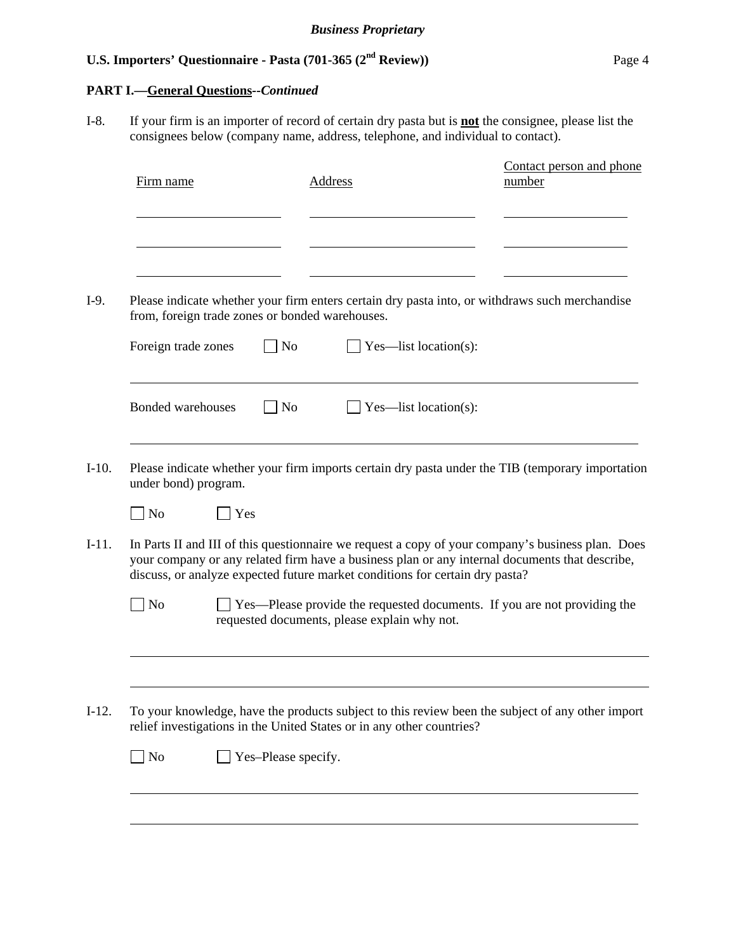# **PART I.—General Questions***--Continued*

I-8. If your firm is an importer of record of certain dry pasta but is **not** the consignee, please list the consignees below (company name, address, telephone, and individual to contact).

| Firm name                                       | <b>Address</b>                                                                                                                                                                                                                                                                      | Contact person and phone<br>number |
|-------------------------------------------------|-------------------------------------------------------------------------------------------------------------------------------------------------------------------------------------------------------------------------------------------------------------------------------------|------------------------------------|
|                                                 |                                                                                                                                                                                                                                                                                     |                                    |
| from, foreign trade zones or bonded warehouses. | Please indicate whether your firm enters certain dry pasta into, or withdraws such merchandise                                                                                                                                                                                      |                                    |
| Foreign trade zones                             | $\overline{N}$<br>Yes—list location(s):                                                                                                                                                                                                                                             |                                    |
| <b>Bonded warehouses</b>                        | N <sub>0</sub><br>Yes—list location(s):                                                                                                                                                                                                                                             |                                    |
| under bond) program.                            | Please indicate whether your firm imports certain dry pasta under the TIB (temporary importation                                                                                                                                                                                    |                                    |
| Yes<br>$\vert$ No                               |                                                                                                                                                                                                                                                                                     |                                    |
|                                                 | In Parts II and III of this questionnaire we request a copy of your company's business plan. Does<br>your company or any related firm have a business plan or any internal documents that describe,<br>discuss, or analyze expected future market conditions for certain dry pasta? |                                    |
| ] No                                            | $\perp$ Yes—Please provide the requested documents. If you are not providing the<br>requested documents, please explain why not.                                                                                                                                                    |                                    |
|                                                 | To your knowledge, have the products subject to this review been the subject of any other import                                                                                                                                                                                    |                                    |
|                                                 | relief investigations in the United States or in any other countries?                                                                                                                                                                                                               |                                    |
| $\Box$ No                                       | Yes-Please specify.                                                                                                                                                                                                                                                                 |                                    |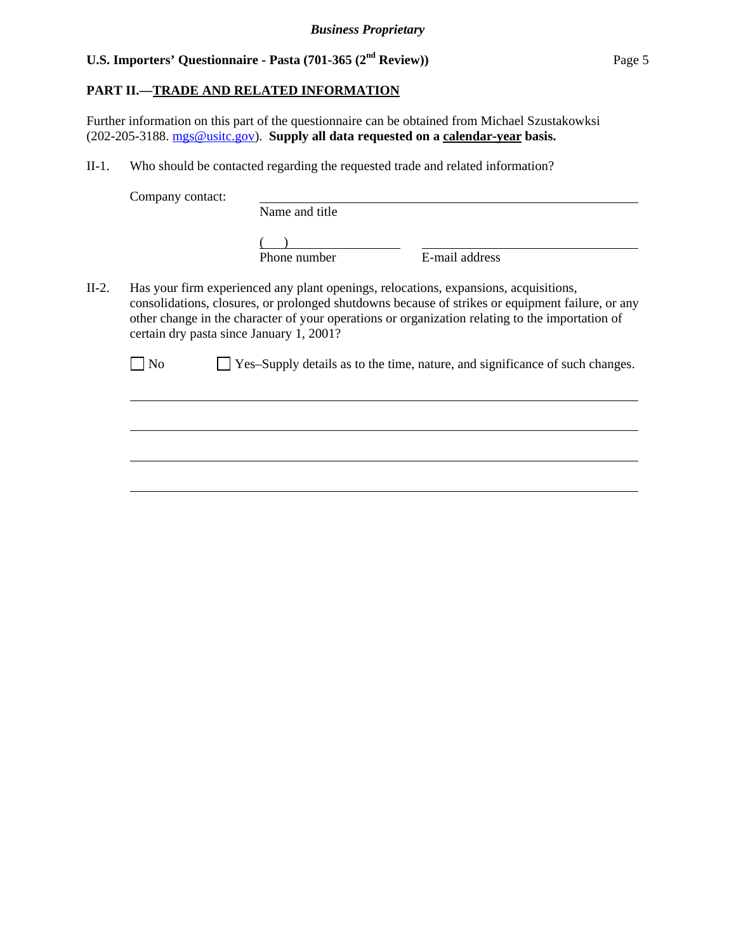### **PART II.—TRADE AND RELATED INFORMATION**

Further information on this part of the questionnaire can be obtained from Michael Szustakowksi (202-205-3188. mgs@usitc.gov). **Supply all data requested on a calendar-year basis.**

II-1. Who should be contacted regarding the requested trade and related information?

Company contact:

 $\overline{a}$ 

 $\overline{a}$ 

 $\overline{a}$ 

 $\overline{a}$ 

Name and title

 $\frac{1}{2}$ Phone number

E-mail address

II-2. Has your firm experienced any plant openings, relocations, expansions, acquisitions, consolidations, closures, or prolonged shutdowns because of strikes or equipment failure, or any other change in the character of your operations or organization relating to the importation of certain dry pasta since January 1, 2001?

No  $\Box$  Yes–Supply details as to the time, nature, and significance of such changes.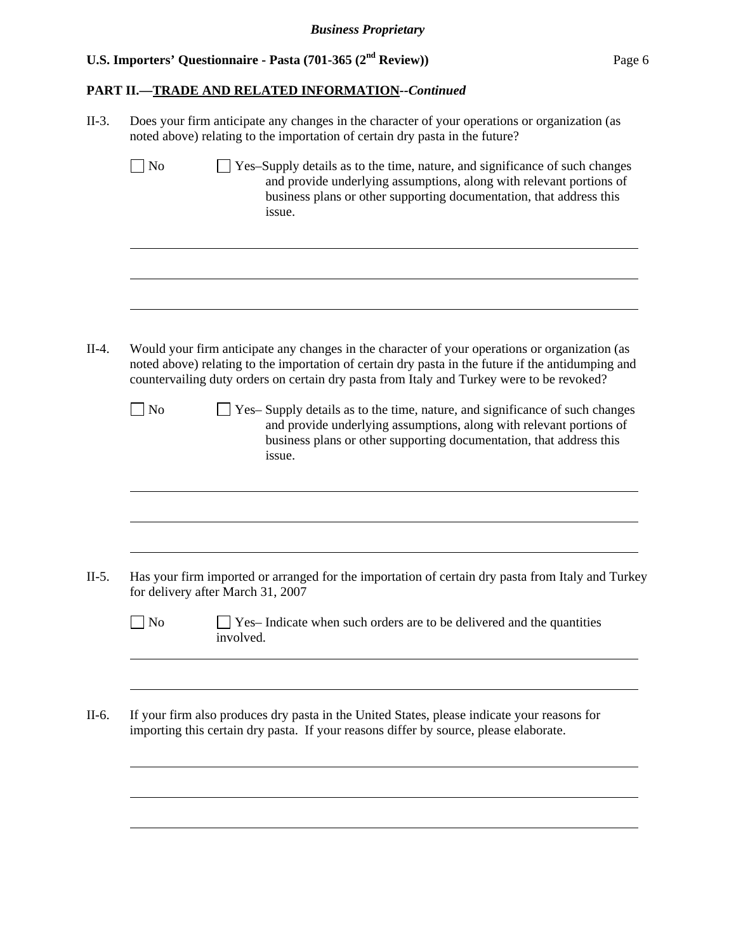# **PART II.—TRADE AND RELATED INFORMATION***--Continued*

|                | Does your firm anticipate any changes in the character of your operations or organization (as<br>noted above) relating to the importation of certain dry pasta in the future?                                                                                                                     |  |  |  |  |  |  |
|----------------|---------------------------------------------------------------------------------------------------------------------------------------------------------------------------------------------------------------------------------------------------------------------------------------------------|--|--|--|--|--|--|
| N <sub>o</sub> | Yes-Supply details as to the time, nature, and significance of such changes<br>and provide underlying assumptions, along with relevant portions of<br>business plans or other supporting documentation, that address this<br>issue.                                                               |  |  |  |  |  |  |
|                |                                                                                                                                                                                                                                                                                                   |  |  |  |  |  |  |
|                | Would your firm anticipate any changes in the character of your operations or organization (as<br>noted above) relating to the importation of certain dry pasta in the future if the antidumping and<br>countervailing duty orders on certain dry pasta from Italy and Turkey were to be revoked? |  |  |  |  |  |  |
| N <sub>o</sub> | Yes-Supply details as to the time, nature, and significance of such changes<br>and provide underlying assumptions, along with relevant portions of<br>business plans or other supporting documentation, that address this<br>issue.                                                               |  |  |  |  |  |  |
|                | Has your firm imported or arranged for the importation of certain dry pasta from Italy and Turkey                                                                                                                                                                                                 |  |  |  |  |  |  |
|                | for delivery after March 31, 2007                                                                                                                                                                                                                                                                 |  |  |  |  |  |  |
| No             | Yes-Indicate when such orders are to be delivered and the quantities<br>involved.                                                                                                                                                                                                                 |  |  |  |  |  |  |
|                |                                                                                                                                                                                                                                                                                                   |  |  |  |  |  |  |
|                | If your firm also produces dry pasta in the United States, please indicate your reasons for<br>importing this certain dry pasta. If your reasons differ by source, please elaborate.                                                                                                              |  |  |  |  |  |  |
|                |                                                                                                                                                                                                                                                                                                   |  |  |  |  |  |  |
|                |                                                                                                                                                                                                                                                                                                   |  |  |  |  |  |  |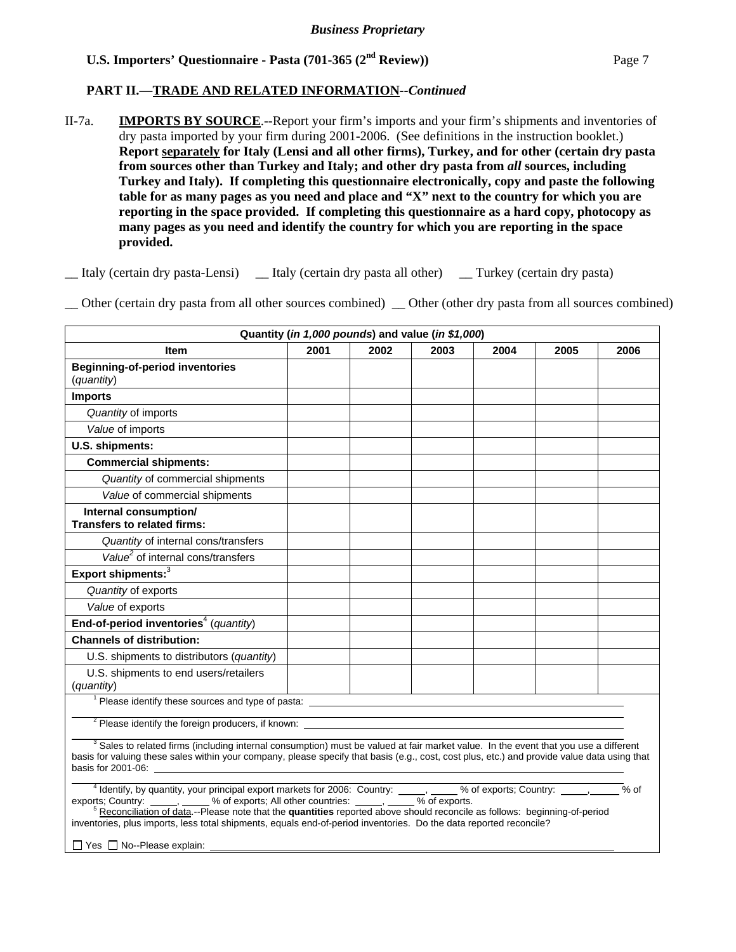# **PART II.—TRADE AND RELATED INFORMATION***--Continued*

II-7a. **IMPORTS BY SOURCE**.--Report your firm's imports and your firm's shipments and inventories of dry pasta imported by your firm during 2001-2006. (See definitions in the instruction booklet.) **Report separately for Italy (Lensi and all other firms), Turkey, and for other (certain dry pasta from sources other than Turkey and Italy; and other dry pasta from** *all* **sources, including Turkey and Italy). If completing this questionnaire electronically, copy and paste the following table for as many pages as you need and place and "X" next to the country for which you are reporting in the space provided. If completing this questionnaire as a hard copy, photocopy as many pages as you need and identify the country for which you are reporting in the space provided.** 

\_\_ Italy (certain dry pasta-Lensi) \_\_ Italy (certain dry pasta all other) \_\_ Turkey (certain dry pasta)

\_\_ Other (certain dry pasta from all other sources combined) \_\_ Other (other dry pasta from all sources combined)

| Quantity (in 1,000 pounds) and value (in \$1,000)                                                                                                                                                                                                                                                                                                                                                                                                                                                                                 |      |      |      |      |      |        |  |  |
|-----------------------------------------------------------------------------------------------------------------------------------------------------------------------------------------------------------------------------------------------------------------------------------------------------------------------------------------------------------------------------------------------------------------------------------------------------------------------------------------------------------------------------------|------|------|------|------|------|--------|--|--|
| <b>Item</b>                                                                                                                                                                                                                                                                                                                                                                                                                                                                                                                       | 2001 | 2002 | 2003 | 2004 | 2005 | 2006   |  |  |
| <b>Beginning-of-period inventories</b>                                                                                                                                                                                                                                                                                                                                                                                                                                                                                            |      |      |      |      |      |        |  |  |
| (quantity)                                                                                                                                                                                                                                                                                                                                                                                                                                                                                                                        |      |      |      |      |      |        |  |  |
| <b>Imports</b>                                                                                                                                                                                                                                                                                                                                                                                                                                                                                                                    |      |      |      |      |      |        |  |  |
| Quantity of imports                                                                                                                                                                                                                                                                                                                                                                                                                                                                                                               |      |      |      |      |      |        |  |  |
| Value of imports                                                                                                                                                                                                                                                                                                                                                                                                                                                                                                                  |      |      |      |      |      |        |  |  |
| U.S. shipments:                                                                                                                                                                                                                                                                                                                                                                                                                                                                                                                   |      |      |      |      |      |        |  |  |
| <b>Commercial shipments:</b>                                                                                                                                                                                                                                                                                                                                                                                                                                                                                                      |      |      |      |      |      |        |  |  |
| Quantity of commercial shipments                                                                                                                                                                                                                                                                                                                                                                                                                                                                                                  |      |      |      |      |      |        |  |  |
| Value of commercial shipments                                                                                                                                                                                                                                                                                                                                                                                                                                                                                                     |      |      |      |      |      |        |  |  |
| Internal consumption/<br><b>Transfers to related firms:</b>                                                                                                                                                                                                                                                                                                                                                                                                                                                                       |      |      |      |      |      |        |  |  |
| Quantity of internal cons/transfers                                                                                                                                                                                                                                                                                                                                                                                                                                                                                               |      |      |      |      |      |        |  |  |
| Value <sup>2</sup> of internal cons/transfers                                                                                                                                                                                                                                                                                                                                                                                                                                                                                     |      |      |      |      |      |        |  |  |
| Export shipments: <sup>3</sup>                                                                                                                                                                                                                                                                                                                                                                                                                                                                                                    |      |      |      |      |      |        |  |  |
| Quantity of exports                                                                                                                                                                                                                                                                                                                                                                                                                                                                                                               |      |      |      |      |      |        |  |  |
| Value of exports                                                                                                                                                                                                                                                                                                                                                                                                                                                                                                                  |      |      |      |      |      |        |  |  |
| End-of-period inventories <sup>4</sup> (quantity)                                                                                                                                                                                                                                                                                                                                                                                                                                                                                 |      |      |      |      |      |        |  |  |
| <b>Channels of distribution:</b>                                                                                                                                                                                                                                                                                                                                                                                                                                                                                                  |      |      |      |      |      |        |  |  |
| U.S. shipments to distributors (quantity)                                                                                                                                                                                                                                                                                                                                                                                                                                                                                         |      |      |      |      |      |        |  |  |
| U.S. shipments to end users/retailers<br>(quantity)                                                                                                                                                                                                                                                                                                                                                                                                                                                                               |      |      |      |      |      |        |  |  |
| <sup>1</sup> Please identify these sources and type of pasta:                                                                                                                                                                                                                                                                                                                                                                                                                                                                     |      |      |      |      |      |        |  |  |
| <sup>2</sup> Please identify the foreign producers, if known:                                                                                                                                                                                                                                                                                                                                                                                                                                                                     |      |      |      |      |      |        |  |  |
| <sup>3</sup> Sales to related firms (including internal consumption) must be valued at fair market value. In the event that you use a different<br>basis for valuing these sales within your company, please specify that basis (e.g., cost, cost plus, etc.) and provide value data using that<br>basis for 2001-06: the state of the state of the state of the state of the state of the state of the state of the state of the state of the state of the state of the state of the state of the state of the state of the stat |      |      |      |      |      |        |  |  |
| <sup>4</sup> Identify, by quantity, your principal export markets for 2006: Country: _____, ____% of exports; Country: ____, _______% of exports; Country: _____, _____% of exports; Country: _____, ____% of exports.<br><sup>5</sup> Reconciliat<br>inventories, plus imports, less total shipments, equals end-of-period inventories. Do the data reported reconcile?<br>□ Yes □ No--Please explain: _                                                                                                                         |      |      |      |      |      | $%$ of |  |  |
|                                                                                                                                                                                                                                                                                                                                                                                                                                                                                                                                   |      |      |      |      |      |        |  |  |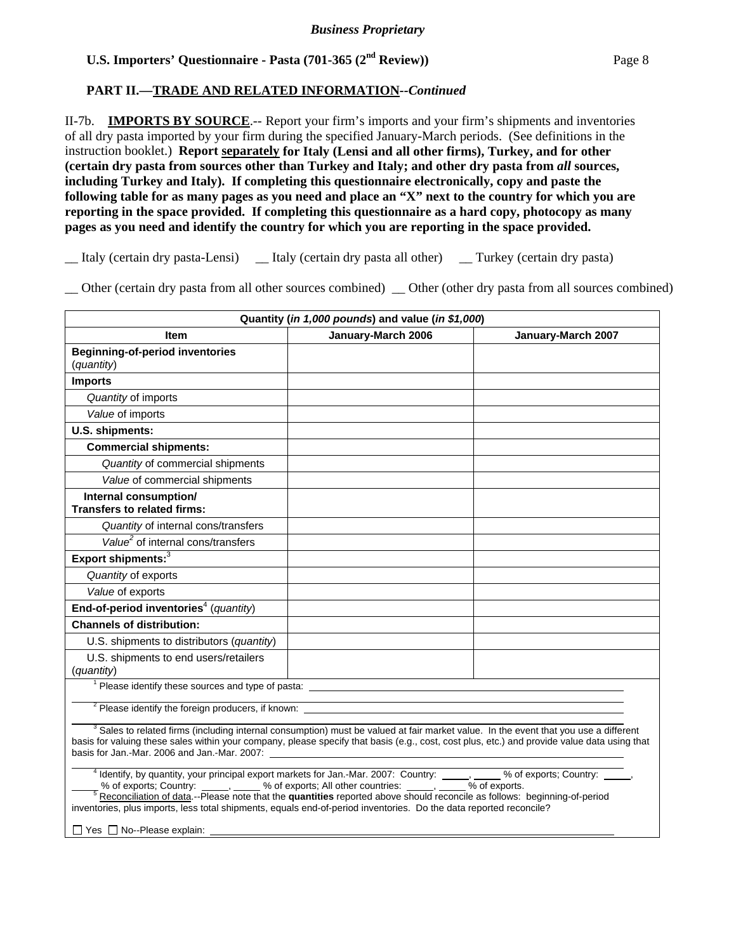### **PART II.—TRADE AND RELATED INFORMATION***--Continued*

II-7b. **IMPORTS BY SOURCE**.-- Report your firm's imports and your firm's shipments and inventories of all dry pasta imported by your firm during the specified January-March periods. (See definitions in the instruction booklet.) **Report separately for Italy (Lensi and all other firms), Turkey, and for other (certain dry pasta from sources other than Turkey and Italy; and other dry pasta from** *all* **sources, including Turkey and Italy). If completing this questionnaire electronically, copy and paste the following table for as many pages as you need and place an "X" next to the country for which you are reporting in the space provided. If completing this questionnaire as a hard copy, photocopy as many pages as you need and identify the country for which you are reporting in the space provided.** 

\_\_ Italy (certain dry pasta-Lensi) \_\_ Italy (certain dry pasta all other) \_\_ Turkey (certain dry pasta)

\_\_ Other (certain dry pasta from all other sources combined) \_\_ Other (other dry pasta from all sources combined)

| Quantity (in 1,000 pounds) and value (in \$1,000)                                                                                                                                                                                                                                                                                                                                                                                                                                                         |                    |                    |  |  |  |  |  |
|-----------------------------------------------------------------------------------------------------------------------------------------------------------------------------------------------------------------------------------------------------------------------------------------------------------------------------------------------------------------------------------------------------------------------------------------------------------------------------------------------------------|--------------------|--------------------|--|--|--|--|--|
| <b>Item</b>                                                                                                                                                                                                                                                                                                                                                                                                                                                                                               | January-March 2006 | January-March 2007 |  |  |  |  |  |
| <b>Beginning-of-period inventories</b><br>(quantity)                                                                                                                                                                                                                                                                                                                                                                                                                                                      |                    |                    |  |  |  |  |  |
| <b>Imports</b>                                                                                                                                                                                                                                                                                                                                                                                                                                                                                            |                    |                    |  |  |  |  |  |
| Quantity of imports                                                                                                                                                                                                                                                                                                                                                                                                                                                                                       |                    |                    |  |  |  |  |  |
| Value of imports                                                                                                                                                                                                                                                                                                                                                                                                                                                                                          |                    |                    |  |  |  |  |  |
| U.S. shipments:                                                                                                                                                                                                                                                                                                                                                                                                                                                                                           |                    |                    |  |  |  |  |  |
| <b>Commercial shipments:</b>                                                                                                                                                                                                                                                                                                                                                                                                                                                                              |                    |                    |  |  |  |  |  |
| Quantity of commercial shipments                                                                                                                                                                                                                                                                                                                                                                                                                                                                          |                    |                    |  |  |  |  |  |
| Value of commercial shipments                                                                                                                                                                                                                                                                                                                                                                                                                                                                             |                    |                    |  |  |  |  |  |
| Internal consumption/<br><b>Transfers to related firms:</b>                                                                                                                                                                                                                                                                                                                                                                                                                                               |                    |                    |  |  |  |  |  |
| Quantity of internal cons/transfers                                                                                                                                                                                                                                                                                                                                                                                                                                                                       |                    |                    |  |  |  |  |  |
| Value <sup>2</sup> of internal cons/transfers                                                                                                                                                                                                                                                                                                                                                                                                                                                             |                    |                    |  |  |  |  |  |
| Export shipments: <sup>3</sup>                                                                                                                                                                                                                                                                                                                                                                                                                                                                            |                    |                    |  |  |  |  |  |
| Quantity of exports                                                                                                                                                                                                                                                                                                                                                                                                                                                                                       |                    |                    |  |  |  |  |  |
| Value of exports                                                                                                                                                                                                                                                                                                                                                                                                                                                                                          |                    |                    |  |  |  |  |  |
| End-of-period inventories <sup>4</sup> (quantity)                                                                                                                                                                                                                                                                                                                                                                                                                                                         |                    |                    |  |  |  |  |  |
| <b>Channels of distribution:</b>                                                                                                                                                                                                                                                                                                                                                                                                                                                                          |                    |                    |  |  |  |  |  |
| U.S. shipments to distributors (quantity)                                                                                                                                                                                                                                                                                                                                                                                                                                                                 |                    |                    |  |  |  |  |  |
| U.S. shipments to end users/retailers<br>(quantity)                                                                                                                                                                                                                                                                                                                                                                                                                                                       |                    |                    |  |  |  |  |  |
| <sup>1</sup> Please identify these sources and type of pasta: __________                                                                                                                                                                                                                                                                                                                                                                                                                                  |                    |                    |  |  |  |  |  |
| <sup>2</sup> Please identify the foreign producers, if known:                                                                                                                                                                                                                                                                                                                                                                                                                                             |                    |                    |  |  |  |  |  |
| <sup>3</sup> Sales to related firms (including internal consumption) must be valued at fair market value. In the event that you use a different<br>basis for valuing these sales within your company, please specify that basis (e.g., cost, cost plus, etc.) and provide value data using that                                                                                                                                                                                                           |                    |                    |  |  |  |  |  |
| <sup>4</sup> Identify, by quantity, your principal export markets for Jan.-Mar. 2007: Country: ____, ____% of exports; Country: ____,<br>% of exports; Country: _____, ____ % of exports; All other countries: _____, ____ % of exports.<br><u>S Reconciliation of data</u> --Please note that the <b>quantities</b> reported above should reconcile as follows: beginning-of-perio<br>inventories, plus imports, less total shipments, equals end-of-period inventories. Do the data reported reconcile? |                    |                    |  |  |  |  |  |
| □ Yes □ No--Please explain: ____                                                                                                                                                                                                                                                                                                                                                                                                                                                                          |                    |                    |  |  |  |  |  |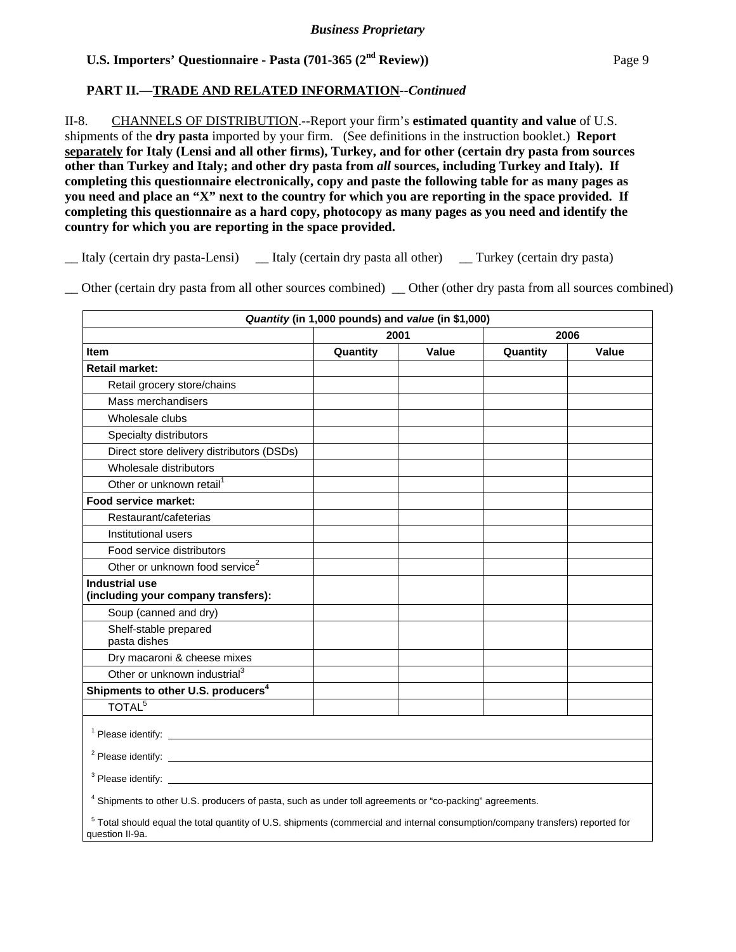### **PART II.—TRADE AND RELATED INFORMATION***--Continued*

II-8. CHANNELS OF DISTRIBUTION.--Report your firm's **estimated quantity and value** of U.S. shipments of the **dry pasta** imported by your firm. (See definitions in the instruction booklet.) **Report separately for Italy (Lensi and all other firms), Turkey, and for other (certain dry pasta from sources other than Turkey and Italy; and other dry pasta from** *all* **sources, including Turkey and Italy). If completing this questionnaire electronically, copy and paste the following table for as many pages as you need and place an "X" next to the country for which you are reporting in the space provided. If completing this questionnaire as a hard copy, photocopy as many pages as you need and identify the country for which you are reporting in the space provided.** 

\_\_ Italy (certain dry pasta-Lensi) \_\_ Italy (certain dry pasta all other) \_\_ Turkey (certain dry pasta)

\_\_ Other (certain dry pasta from all other sources combined) \_\_ Other (other dry pasta from all sources combined)

|                                                                                                                                                              | Quantity (in 1,000 pounds) and value (in \$1,000) |       |          |              |
|--------------------------------------------------------------------------------------------------------------------------------------------------------------|---------------------------------------------------|-------|----------|--------------|
|                                                                                                                                                              | 2001                                              |       | 2006     |              |
| <b>Item</b>                                                                                                                                                  | Quantity                                          | Value | Quantity | <b>Value</b> |
| <b>Retail market:</b>                                                                                                                                        |                                                   |       |          |              |
| Retail grocery store/chains                                                                                                                                  |                                                   |       |          |              |
| Mass merchandisers                                                                                                                                           |                                                   |       |          |              |
| Wholesale clubs                                                                                                                                              |                                                   |       |          |              |
| Specialty distributors                                                                                                                                       |                                                   |       |          |              |
| Direct store delivery distributors (DSDs)                                                                                                                    |                                                   |       |          |              |
| Wholesale distributors                                                                                                                                       |                                                   |       |          |              |
| Other or unknown retail <sup>1</sup>                                                                                                                         |                                                   |       |          |              |
| Food service market:                                                                                                                                         |                                                   |       |          |              |
| Restaurant/cafeterias                                                                                                                                        |                                                   |       |          |              |
| Institutional users                                                                                                                                          |                                                   |       |          |              |
| Food service distributors                                                                                                                                    |                                                   |       |          |              |
| Other or unknown food service <sup>2</sup>                                                                                                                   |                                                   |       |          |              |
| <b>Industrial use</b><br>(including your company transfers):                                                                                                 |                                                   |       |          |              |
| Soup (canned and dry)                                                                                                                                        |                                                   |       |          |              |
| Shelf-stable prepared<br>pasta dishes                                                                                                                        |                                                   |       |          |              |
| Dry macaroni & cheese mixes                                                                                                                                  |                                                   |       |          |              |
| Other or unknown industrial <sup>3</sup>                                                                                                                     |                                                   |       |          |              |
| Shipments to other U.S. producers <sup>4</sup>                                                                                                               |                                                   |       |          |              |
| TOTAL <sup>5</sup>                                                                                                                                           |                                                   |       |          |              |
|                                                                                                                                                              |                                                   |       |          |              |
|                                                                                                                                                              |                                                   |       |          |              |
|                                                                                                                                                              |                                                   |       |          |              |
| <sup>4</sup> Shipments to other U.S. producers of pasta, such as under toll agreements or "co-packing" agreements.                                           |                                                   |       |          |              |
| <sup>5</sup> Total should equal the total quantity of U.S. shipments (commercial and internal consumption/company transfers) reported for<br>question II-9a. |                                                   |       |          |              |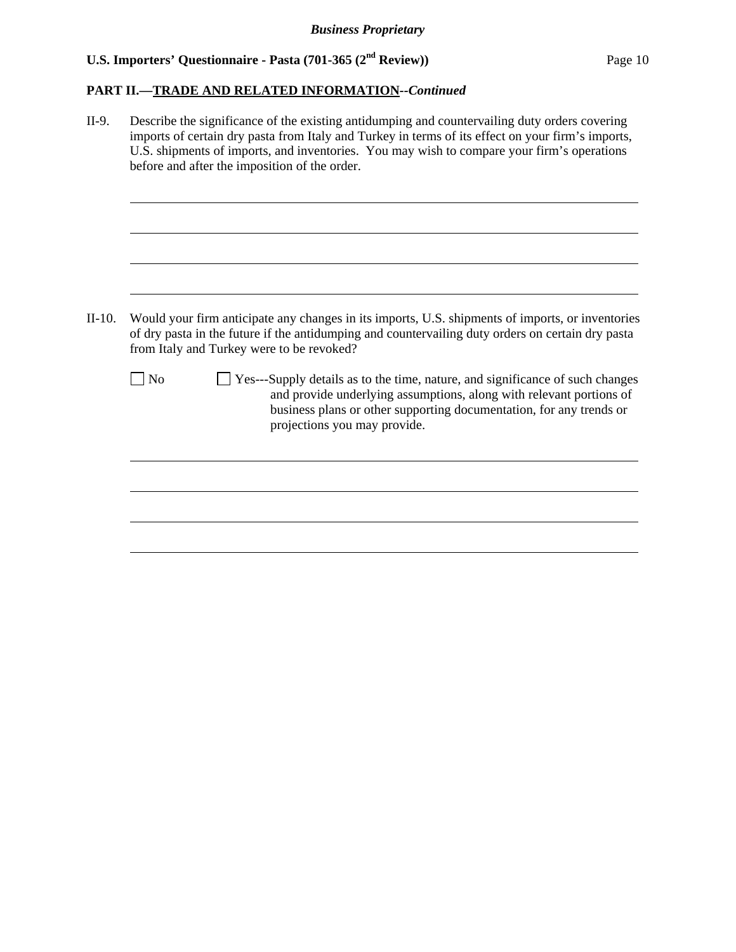# **PART II.—TRADE AND RELATED INFORMATION***--Continued*

| II-9.    | Describe the significance of the existing antidumping and countervailing duty orders covering<br>imports of certain dry pasta from Italy and Turkey in terms of its effect on your firm's imports,<br>U.S. shipments of imports, and inventories. You may wish to compare your firm's operations<br>before and after the imposition of the order. |  |  |  |  |  |
|----------|---------------------------------------------------------------------------------------------------------------------------------------------------------------------------------------------------------------------------------------------------------------------------------------------------------------------------------------------------|--|--|--|--|--|
|          |                                                                                                                                                                                                                                                                                                                                                   |  |  |  |  |  |
| $II-10.$ | Would your firm anticipate any changes in its imports, U.S. shipments of imports, or inventories<br>of dry pasta in the future if the antidumping and countervailing duty orders on certain dry pasta<br>from Italy and Turkey were to be revoked?                                                                                                |  |  |  |  |  |
|          | No<br>Yes---Supply details as to the time, nature, and significance of such changes<br>and provide underlying assumptions, along with relevant portions of<br>business plans or other supporting documentation, for any trends or<br>projections you may provide.                                                                                 |  |  |  |  |  |
|          |                                                                                                                                                                                                                                                                                                                                                   |  |  |  |  |  |
|          |                                                                                                                                                                                                                                                                                                                                                   |  |  |  |  |  |
|          |                                                                                                                                                                                                                                                                                                                                                   |  |  |  |  |  |
|          |                                                                                                                                                                                                                                                                                                                                                   |  |  |  |  |  |
|          |                                                                                                                                                                                                                                                                                                                                                   |  |  |  |  |  |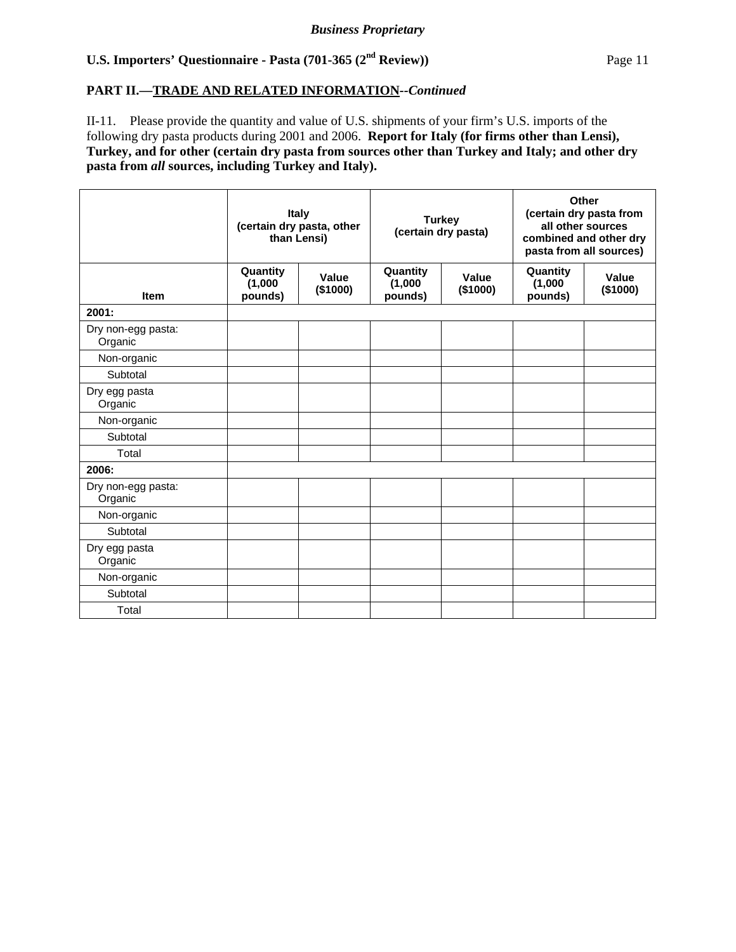# **PART II.—TRADE AND RELATED INFORMATION***--Continued*

II-11. Please provide the quantity and value of U.S. shipments of your firm's U.S. imports of the following dry pasta products during 2001 and 2006. **Report for Italy (for firms other than Lensi), Turkey, and for other (certain dry pasta from sources other than Turkey and Italy; and other dry pasta from** *all* **sources, including Turkey and Italy).** 

|                               | Italy<br>(certain dry pasta, other<br>than Lensi) |                   | <b>Turkey</b><br>(certain dry pasta) |                   | Other<br>(certain dry pasta from<br>all other sources<br>combined and other dry<br>pasta from all sources) |                   |  |
|-------------------------------|---------------------------------------------------|-------------------|--------------------------------------|-------------------|------------------------------------------------------------------------------------------------------------|-------------------|--|
| <b>Item</b>                   | Quantity<br>(1,000)<br>pounds)                    | Value<br>(\$1000) | Quantity<br>(1,000)<br>pounds)       | Value<br>(\$1000) | Quantity<br>(1,000)<br>pounds)                                                                             | Value<br>(\$1000) |  |
| 2001:                         |                                                   |                   |                                      |                   |                                                                                                            |                   |  |
| Dry non-egg pasta:<br>Organic |                                                   |                   |                                      |                   |                                                                                                            |                   |  |
| Non-organic                   |                                                   |                   |                                      |                   |                                                                                                            |                   |  |
| Subtotal                      |                                                   |                   |                                      |                   |                                                                                                            |                   |  |
| Dry egg pasta<br>Organic      |                                                   |                   |                                      |                   |                                                                                                            |                   |  |
| Non-organic                   |                                                   |                   |                                      |                   |                                                                                                            |                   |  |
| Subtotal                      |                                                   |                   |                                      |                   |                                                                                                            |                   |  |
| Total                         |                                                   |                   |                                      |                   |                                                                                                            |                   |  |
| 2006:                         |                                                   |                   |                                      |                   |                                                                                                            |                   |  |
| Dry non-egg pasta:<br>Organic |                                                   |                   |                                      |                   |                                                                                                            |                   |  |
| Non-organic                   |                                                   |                   |                                      |                   |                                                                                                            |                   |  |
| Subtotal                      |                                                   |                   |                                      |                   |                                                                                                            |                   |  |
| Dry egg pasta<br>Organic      |                                                   |                   |                                      |                   |                                                                                                            |                   |  |
| Non-organic                   |                                                   |                   |                                      |                   |                                                                                                            |                   |  |
| Subtotal                      |                                                   |                   |                                      |                   |                                                                                                            |                   |  |
| Total                         |                                                   |                   |                                      |                   |                                                                                                            |                   |  |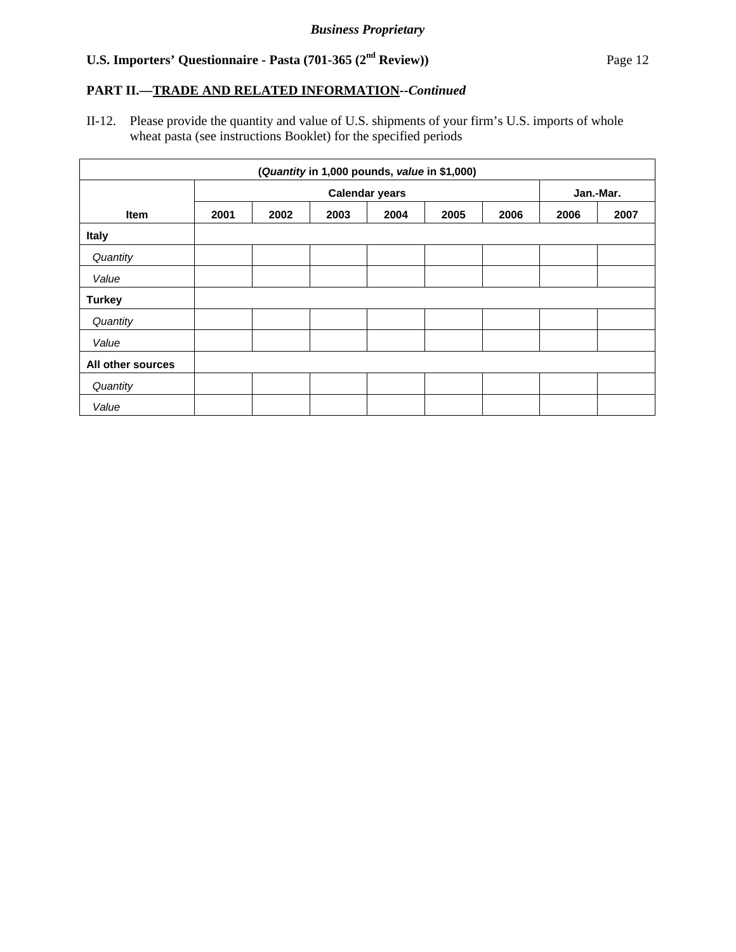# **PART II.—TRADE AND RELATED INFORMATION***--Continued*

II-12. Please provide the quantity and value of U.S. shipments of your firm's U.S. imports of whole wheat pasta (see instructions Booklet) for the specified periods

| (Quantity in 1,000 pounds, value in \$1,000) |                       |      |      |      |      |      |           |      |
|----------------------------------------------|-----------------------|------|------|------|------|------|-----------|------|
|                                              | <b>Calendar years</b> |      |      |      |      |      | Jan.-Mar. |      |
| <b>Item</b>                                  | 2001                  | 2002 | 2003 | 2004 | 2005 | 2006 | 2006      | 2007 |
| <b>Italy</b>                                 |                       |      |      |      |      |      |           |      |
| Quantity                                     |                       |      |      |      |      |      |           |      |
| Value                                        |                       |      |      |      |      |      |           |      |
| <b>Turkey</b>                                |                       |      |      |      |      |      |           |      |
| Quantity                                     |                       |      |      |      |      |      |           |      |
| Value                                        |                       |      |      |      |      |      |           |      |
| All other sources                            |                       |      |      |      |      |      |           |      |
| Quantity                                     |                       |      |      |      |      |      |           |      |
| Value                                        |                       |      |      |      |      |      |           |      |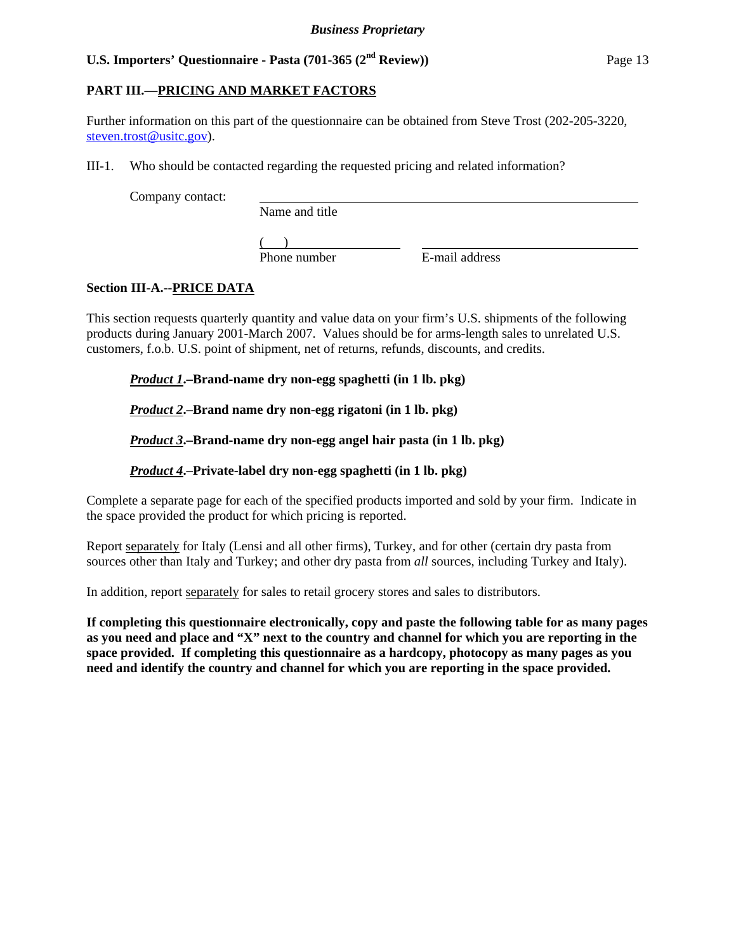# **PART III.—PRICING AND MARKET FACTORS**

Further information on this part of the questionnaire can be obtained from Steve Trost (202-205-3220, steven.trost@usitc.gov).

III-1. Who should be contacted regarding the requested pricing and related information?

Company contact:

Name and title

 $\frac{1}{2}$ Phone number

E-mail address

# **Section III-A.--PRICE DATA**

This section requests quarterly quantity and value data on your firm's U.S. shipments of the following products during January 2001-March 2007. Values should be for arms-length sales to unrelated U.S. customers, f.o.b. U.S. point of shipment, net of returns, refunds, discounts, and credits.

*Product 1***.–Brand-name dry non-egg spaghetti (in 1 lb. pkg)**

# *Product 2***.–Brand name dry non-egg rigatoni (in 1 lb. pkg)**

# *Product 3***.–Brand-name dry non-egg angel hair pasta (in 1 lb. pkg)**

# *Product 4***.–Private-label dry non-egg spaghetti (in 1 lb. pkg)**

Complete a separate page for each of the specified products imported and sold by your firm. Indicate in the space provided the product for which pricing is reported.

Report separately for Italy (Lensi and all other firms), Turkey, and for other (certain dry pasta from sources other than Italy and Turkey; and other dry pasta from *all* sources, including Turkey and Italy).

In addition, report separately for sales to retail grocery stores and sales to distributors.

**If completing this questionnaire electronically, copy and paste the following table for as many pages as you need and place and "X" next to the country and channel for which you are reporting in the space provided. If completing this questionnaire as a hardcopy, photocopy as many pages as you need and identify the country and channel for which you are reporting in the space provided.**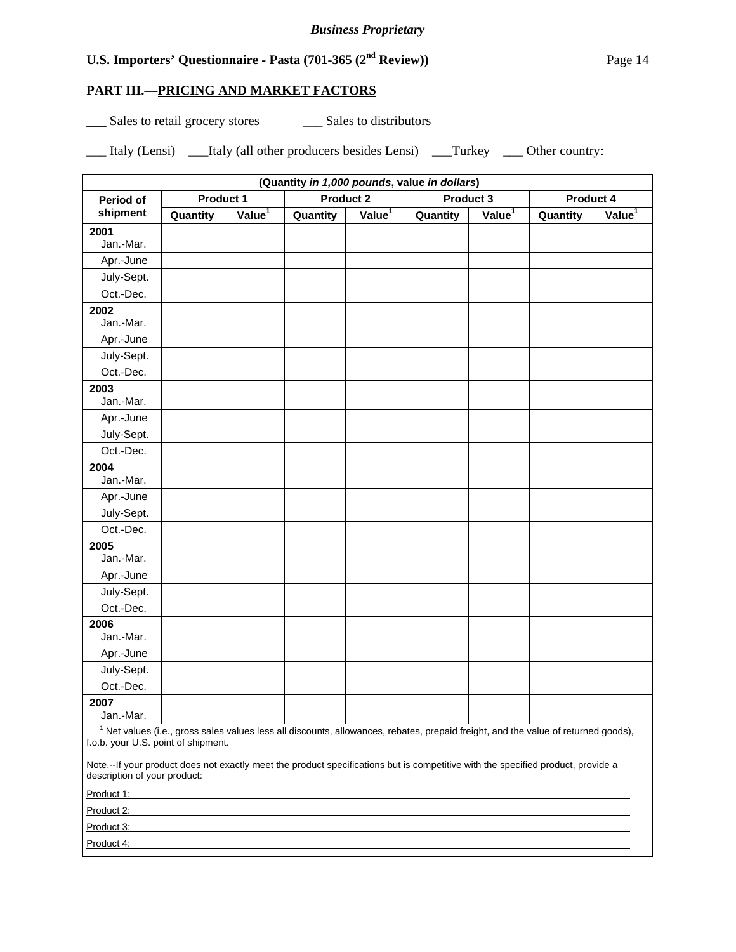# **PART III.—PRICING AND MARKET FACTORS**

**\_\_\_** Sales to retail grocery stores \_\_\_ Sales to distributors

| $- - - -$ | Italy (Lensi) | Italy (all other producers besides Lensi) | Turkey | Other country: |
|-----------|---------------|-------------------------------------------|--------|----------------|
|-----------|---------------|-------------------------------------------|--------|----------------|

| (Quantity in 1,000 pounds, value in dollars) |           |                    |                  |                    |                                                                                                                                               |                    |           |                    |  |
|----------------------------------------------|-----------|--------------------|------------------|--------------------|-----------------------------------------------------------------------------------------------------------------------------------------------|--------------------|-----------|--------------------|--|
| Period of                                    | Product 1 |                    | <b>Product 2</b> |                    | Product 3                                                                                                                                     |                    | Product 4 |                    |  |
| shipment                                     | Quantity  | Value <sup>1</sup> | Quantity         | Value <sup>1</sup> | Quantity                                                                                                                                      | Value <sup>1</sup> |           | Value <sup>1</sup> |  |
| 2001                                         |           |                    |                  |                    |                                                                                                                                               |                    |           |                    |  |
| Jan.-Mar.                                    |           |                    |                  |                    |                                                                                                                                               |                    |           |                    |  |
| Apr.-June                                    |           |                    |                  |                    |                                                                                                                                               |                    |           |                    |  |
| July-Sept.                                   |           |                    |                  |                    |                                                                                                                                               |                    |           |                    |  |
| Oct.-Dec.                                    |           |                    |                  |                    |                                                                                                                                               |                    |           |                    |  |
| 2002<br>Jan.-Mar.                            |           |                    |                  |                    |                                                                                                                                               |                    |           |                    |  |
| Apr.-June                                    |           |                    |                  |                    |                                                                                                                                               |                    |           |                    |  |
| July-Sept.                                   |           |                    |                  |                    |                                                                                                                                               |                    |           |                    |  |
| Oct.-Dec.                                    |           |                    |                  |                    |                                                                                                                                               |                    |           |                    |  |
| 2003<br>Jan.-Mar.                            |           |                    |                  |                    |                                                                                                                                               |                    |           |                    |  |
| Apr.-June                                    |           |                    |                  |                    |                                                                                                                                               |                    |           |                    |  |
| July-Sept.                                   |           |                    |                  |                    |                                                                                                                                               |                    |           |                    |  |
| Oct.-Dec.                                    |           |                    |                  |                    |                                                                                                                                               |                    |           |                    |  |
| 2004                                         |           |                    |                  |                    |                                                                                                                                               |                    |           |                    |  |
| Jan.-Mar.                                    |           |                    |                  |                    |                                                                                                                                               |                    |           |                    |  |
| Apr.-June                                    |           |                    |                  |                    |                                                                                                                                               |                    |           |                    |  |
| July-Sept.                                   |           |                    |                  |                    |                                                                                                                                               |                    |           |                    |  |
| Oct.-Dec.                                    |           |                    |                  |                    |                                                                                                                                               |                    |           |                    |  |
| 2005<br>Jan.-Mar.                            |           |                    |                  |                    |                                                                                                                                               |                    |           |                    |  |
| Apr.-June                                    |           |                    |                  |                    |                                                                                                                                               |                    |           |                    |  |
| July-Sept.                                   |           |                    |                  |                    |                                                                                                                                               |                    |           |                    |  |
| Oct.-Dec.                                    |           |                    |                  |                    |                                                                                                                                               |                    |           |                    |  |
| 2006<br>Jan.-Mar.                            |           |                    |                  |                    |                                                                                                                                               |                    |           |                    |  |
| Apr.-June                                    |           |                    |                  |                    |                                                                                                                                               |                    |           |                    |  |
| July-Sept.                                   |           |                    |                  |                    |                                                                                                                                               |                    |           |                    |  |
| Oct.-Dec.                                    |           |                    |                  |                    |                                                                                                                                               |                    |           |                    |  |
| 2007                                         |           |                    |                  |                    |                                                                                                                                               |                    |           |                    |  |
| Jan.-Mar.                                    |           |                    |                  |                    |                                                                                                                                               |                    |           |                    |  |
|                                              |           |                    |                  |                    | <sup>1</sup> Net values (i.e., gross sales values less all discounts, allowances, rebates, prepaid freight, and the value of returned goods), |                    |           |                    |  |

f.o.b. your U.S. point of shipment.

Note.--If your product does not exactly meet the product specifications but is competitive with the specified product, provide a description of your product:

| Product 1: |  |
|------------|--|
| Product 2: |  |
| Product 3: |  |
| Product 4: |  |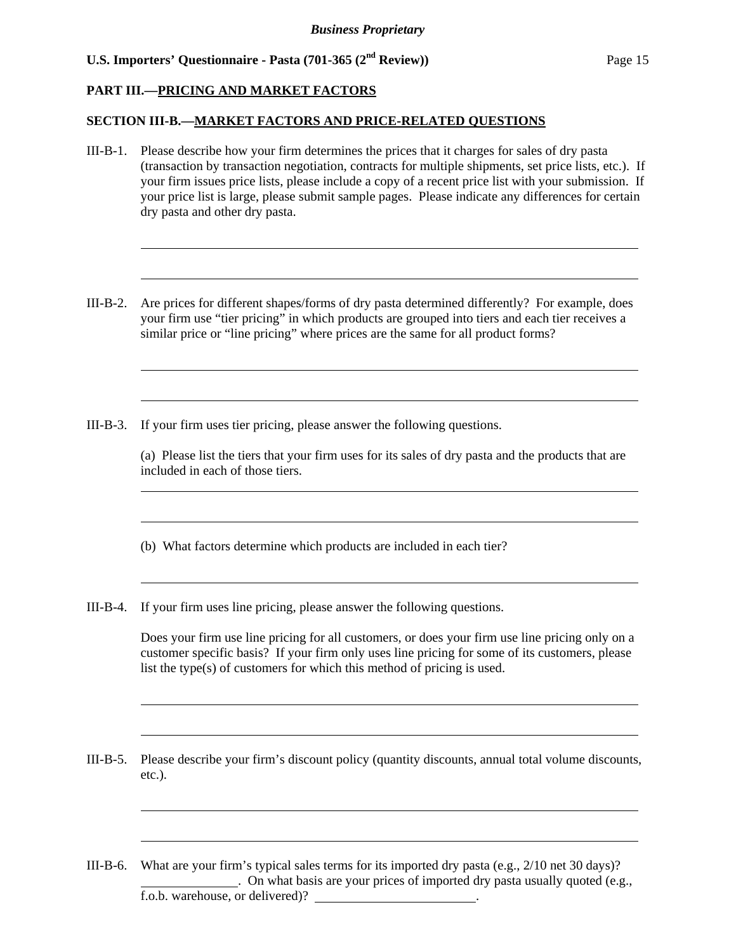### **PART III.—PRICING AND MARKET FACTORS**

l

l

l

l

l

l

l

l

l

l

#### **SECTION III-B.—MARKET FACTORS AND PRICE-RELATED QUESTIONS**

- III-B-1. Please describe how your firm determines the prices that it charges for sales of dry pasta (transaction by transaction negotiation, contracts for multiple shipments, set price lists, etc.). If your firm issues price lists, please include a copy of a recent price list with your submission. If your price list is large, please submit sample pages. Please indicate any differences for certain dry pasta and other dry pasta.
- III-B-2. Are prices for different shapes/forms of dry pasta determined differently? For example, does your firm use "tier pricing" in which products are grouped into tiers and each tier receives a similar price or "line pricing" where prices are the same for all product forms?
- III-B-3. If your firm uses tier pricing, please answer the following questions.

(a) Please list the tiers that your firm uses for its sales of dry pasta and the products that are included in each of those tiers.

(b) What factors determine which products are included in each tier?

III-B-4. If your firm uses line pricing, please answer the following questions.

Does your firm use line pricing for all customers, or does your firm use line pricing only on a customer specific basis? If your firm only uses line pricing for some of its customers, please list the type(s) of customers for which this method of pricing is used.

III-B-5. Please describe your firm's discount policy (quantity discounts, annual total volume discounts, etc.).

III-B-6. What are your firm's typical sales terms for its imported dry pasta (e.g., 2/10 net 30 days)? . On what basis are your prices of imported dry pasta usually quoted (e.g., f.o.b. warehouse, or delivered)? .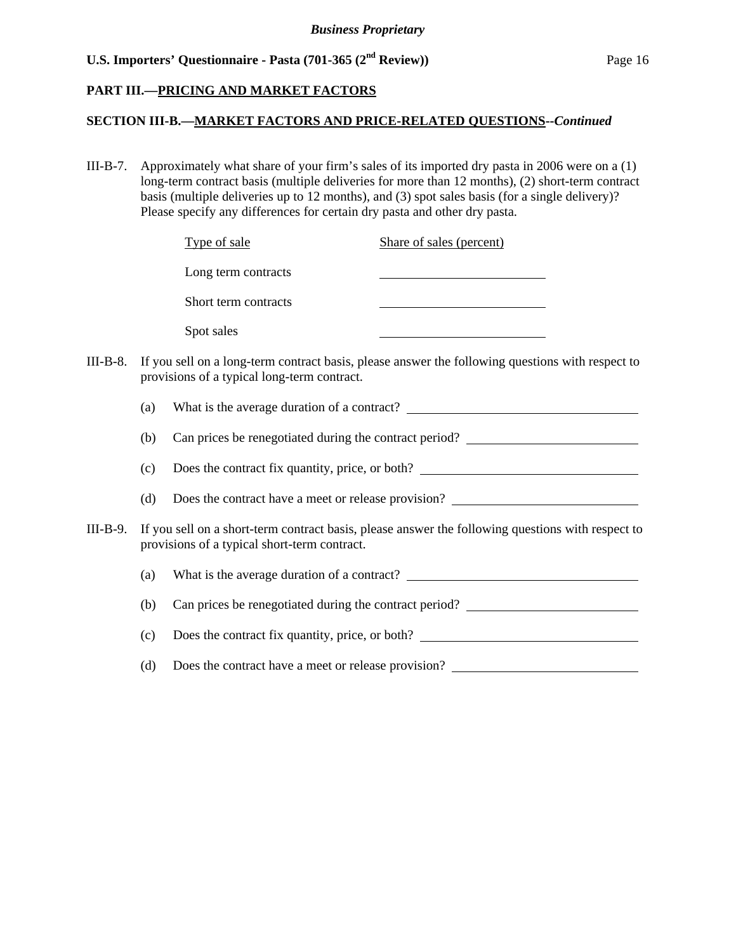### **PART III.—PRICING AND MARKET FACTORS**

# **SECTION III-B.—MARKET FACTORS AND PRICE-RELATED QUESTIONS--***Continued*

III-B-7. Approximately what share of your firm's sales of its imported dry pasta in 2006 were on a (1) long-term contract basis (multiple deliveries for more than 12 months), (2) short-term contract basis (multiple deliveries up to 12 months), and (3) spot sales basis (for a single delivery)? Please specify any differences for certain dry pasta and other dry pasta.

|          |     | Type of sale                                 | Share of sales (percent)                                                                                             |
|----------|-----|----------------------------------------------|----------------------------------------------------------------------------------------------------------------------|
|          |     | Long term contracts                          | <u> 1980 - Johann Barn, mars ann an t-Amhain Aonaich an t-Aonaich an t-Aonaich ann an t-Aonaich ann an t-Aonaich</u> |
|          |     | Short term contracts                         |                                                                                                                      |
|          |     | Spot sales                                   |                                                                                                                      |
| III-B-8. |     | provisions of a typical long-term contract.  | If you sell on a long-term contract basis, please answer the following questions with respect to                     |
|          | (a) |                                              |                                                                                                                      |
|          | (b) |                                              | Can prices be renegotiated during the contract period?                                                               |
|          | (c) |                                              | Does the contract fix quantity, price, or both?                                                                      |
|          | (d) |                                              | Does the contract have a meet or release provision?                                                                  |
| III-B-9. |     | provisions of a typical short-term contract. | If you sell on a short-term contract basis, please answer the following questions with respect to                    |
|          | (a) |                                              |                                                                                                                      |
|          | (b) |                                              | Can prices be renegotiated during the contract period?                                                               |
|          | (c) |                                              | Does the contract fix quantity, price, or both?                                                                      |
|          | (d) |                                              | Does the contract have a meet or release provision?                                                                  |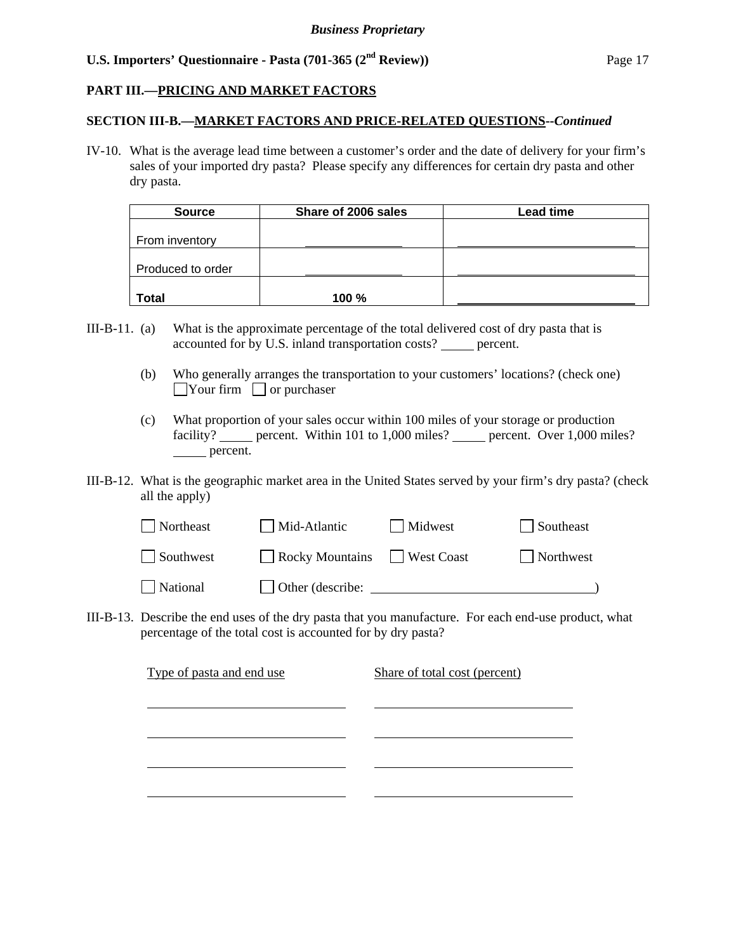# **PART III.—PRICING AND MARKET FACTORS**

#### **SECTION III-B.—MARKET FACTORS AND PRICE-RELATED QUESTIONS--***Continued*

IV-10. What is the average lead time between a customer's order and the date of delivery for your firm's sales of your imported dry pasta? Please specify any differences for certain dry pasta and other dry pasta.

| <b>Source</b>     | Share of 2006 sales | Lead time |
|-------------------|---------------------|-----------|
|                   |                     |           |
| From inventory    |                     |           |
|                   |                     |           |
| Produced to order |                     |           |
|                   |                     |           |
| Total             | 100%                |           |

- III-B-11. (a) What is the approximate percentage of the total delivered cost of dry pasta that is accounted for by U.S. inland transportation costs? percent.
	- (b) Who generally arranges the transportation to your customers' locations? (check one)  $\Box$ Your firm  $\Box$  or purchaser
	- (c) What proportion of your sales occur within 100 miles of your storage or production facility? percent. Within 101 to 1,000 miles? percent. Over 1,000 miles? percent.
- III-B-12. What is the geographic market area in the United States served by your firm's dry pasta? (check all the apply)

| Northeast | Mid-Atlantic     | Midwest    | Southeast |
|-----------|------------------|------------|-----------|
| Southwest | Rocky Mountains  | West Coast | Northwest |
| National  | Other (describe: |            |           |

III-B-13. Describe the end uses of the dry pasta that you manufacture. For each end-use product, what percentage of the total cost is accounted for by dry pasta?

| Type of pasta and end use | Share of total cost (percent) |
|---------------------------|-------------------------------|
|                           |                               |
|                           |                               |
|                           |                               |
|                           |                               |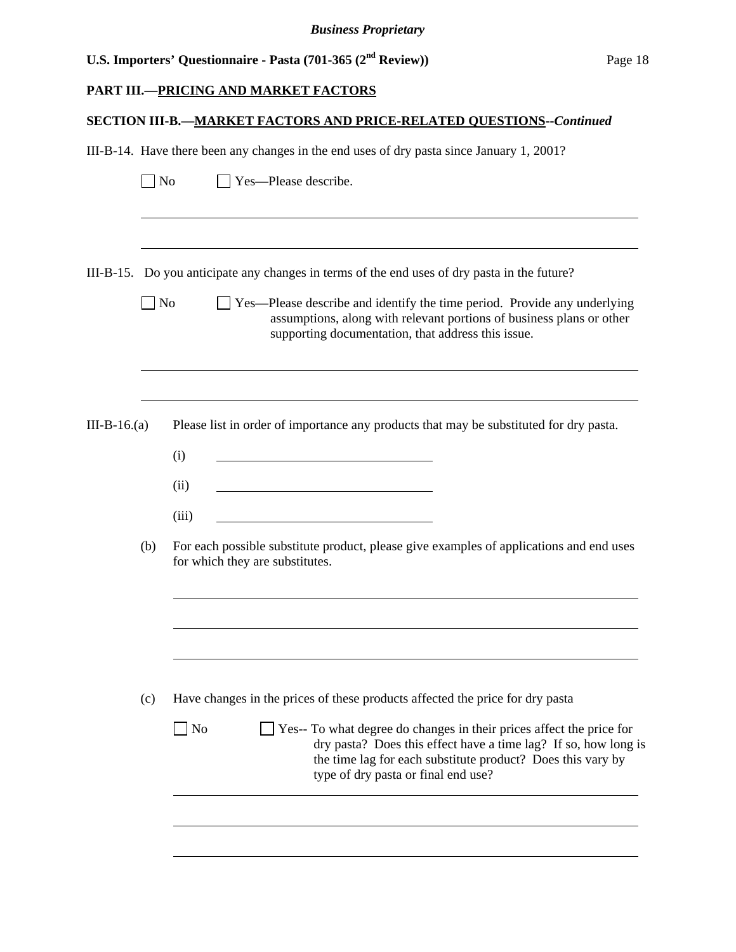|  | U.S. Importers' Questionnaire - Pasta $(701-365)$ $(2^{nd}$ Review) | Page 18 |
|--|---------------------------------------------------------------------|---------|
|--|---------------------------------------------------------------------|---------|

#### **PART III.—PRICING AND MARKET FACTORS**

#### **SECTION III-B.—MARKET FACTORS AND PRICE-RELATED QUESTIONS--***Continued*

III-B-14. Have there been any changes in the end uses of dry pasta since January 1, 2001?

| $\Box$ No | $\Box$ Yes—Please describe. |
|-----------|-----------------------------|
|-----------|-----------------------------|

l

l

 $\overline{a}$ 

l

l

l

III-B-15. Do you anticipate any changes in terms of the end uses of dry pasta in the future?

No Ses—Please describe and identify the time period. Provide any underlying assumptions, along with relevant portions of business plans or other supporting documentation, that address this issue.

III-B-16.(a) Please list in order of importance any products that may be substituted for dry pasta.

| (i)  |  |
|------|--|
| (ii) |  |

(iii)

 (b) For each possible substitute product, please give examples of applications and end uses for which they are substitutes.

|  | (c) Have changes in the prices of these products affected the price for dry pasta |  |  |  |  |  |  |  |  |  |  |
|--|-----------------------------------------------------------------------------------|--|--|--|--|--|--|--|--|--|--|
|--|-----------------------------------------------------------------------------------|--|--|--|--|--|--|--|--|--|--|

| $\vert$ No | $\Box$ Yes-- To what degree do changes in their prices affect the price for |
|------------|-----------------------------------------------------------------------------|
|            | dry pasta? Does this effect have a time lag? If so, how long is             |
|            | the time lag for each substitute product? Does this vary by                 |
|            | type of dry pasta or final end use?                                         |
|            |                                                                             |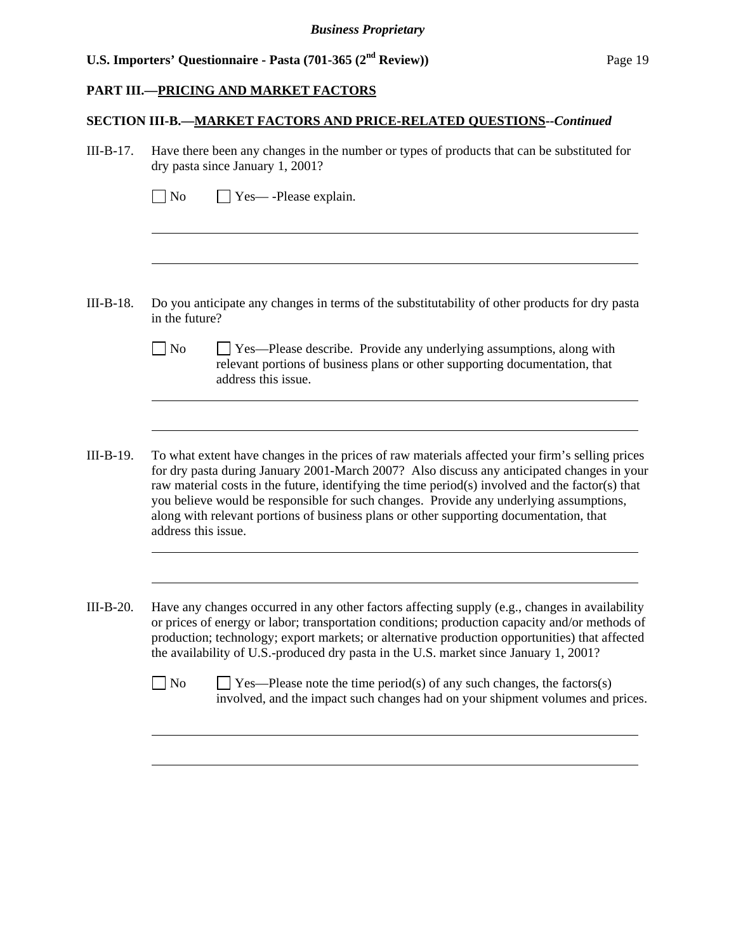#### **PART III.—PRICING AND MARKET FACTORS**

l

l

l

l

#### **SECTION III-B.—MARKET FACTORS AND PRICE-RELATED QUESTIONS--***Continued*

| III-B-17. Have there been any changes in the number or types of products that can be substituted for |
|------------------------------------------------------------------------------------------------------|
| dry pasta since January 1, 2001?                                                                     |

| $\Box$ No | $\Box$ Yes— -Please explain. |
|-----------|------------------------------|
|-----------|------------------------------|

- III-B-18. Do you anticipate any changes in terms of the substitutability of other products for dry pasta in the future?
	- No Yes—Please describe. Provide any underlying assumptions, along with relevant portions of business plans or other supporting documentation, that address this issue.
- III-B-19. To what extent have changes in the prices of raw materials affected your firm's selling prices for dry pasta during January 2001-March 2007? Also discuss any anticipated changes in your raw material costs in the future, identifying the time period(s) involved and the factor(s) that you believe would be responsible for such changes. Provide any underlying assumptions, along with relevant portions of business plans or other supporting documentation, that address this issue.
- III-B-20. Have any changes occurred in any other factors affecting supply (e.g., changes in availability or prices of energy or labor; transportation conditions; production capacity and/or methods of production; technology; export markets; or alternative production opportunities) that affected the availability of U.S.-produced dry pasta in the U.S. market since January 1, 2001?

 $\Box$  No  $\Box$  Yes—Please note the time period(s) of any such changes, the factors(s) involved, and the impact such changes had on your shipment volumes and prices.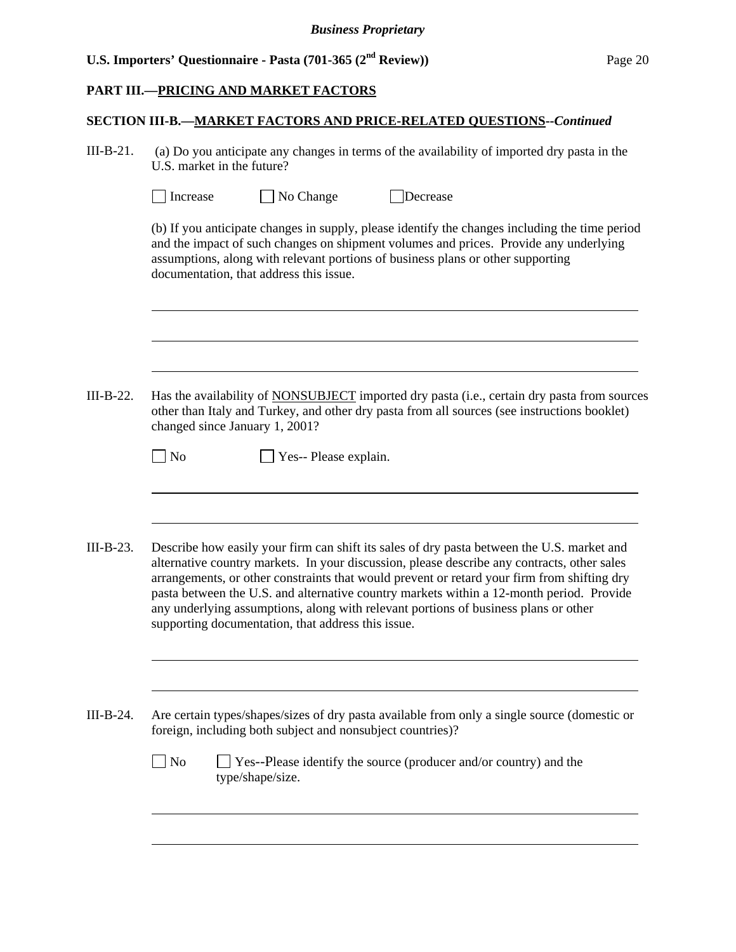# **PART III.—PRICING AND MARKET FACTORS**

l

l

 $\overline{a}$ 

l

# **SECTION III-B.—MARKET FACTORS AND PRICE-RELATED QUESTIONS--***Continued*

III-B-21. (a) Do you anticipate any changes in terms of the availability of imported dry pasta in the U.S. market in the future?

| Increase | $\Box$ No Change | Decrease |
|----------|------------------|----------|
|          |                  |          |

(b) If you anticipate changes in supply, please identify the changes including the time period and the impact of such changes on shipment volumes and prices. Provide any underlying assumptions, along with relevant portions of business plans or other supporting documentation, that address this issue.

III-B-22. Has the availability of NONSUBJECT imported dry pasta (i.e., certain dry pasta from sources other than Italy and Turkey, and other dry pasta from all sources (see instructions booklet) changed since January 1, 2001?

| $\log$ No | $\Box$ Yes-- Please explain. |
|-----------|------------------------------|
|-----------|------------------------------|

III-B-23. Describe how easily your firm can shift its sales of dry pasta between the U.S. market and alternative country markets. In your discussion, please describe any contracts, other sales arrangements, or other constraints that would prevent or retard your firm from shifting dry pasta between the U.S. and alternative country markets within a 12-month period. Provide any underlying assumptions, along with relevant portions of business plans or other supporting documentation, that address this issue.

III-B-24. Are certain types/shapes/sizes of dry pasta available from only a single source (domestic or foreign, including both subject and nonsubject countries)?

| $\Box$ No | $\Box$ Yes--Please identify the source (producer and/or country) and the |
|-----------|--------------------------------------------------------------------------|
|           | type/shape/size.                                                         |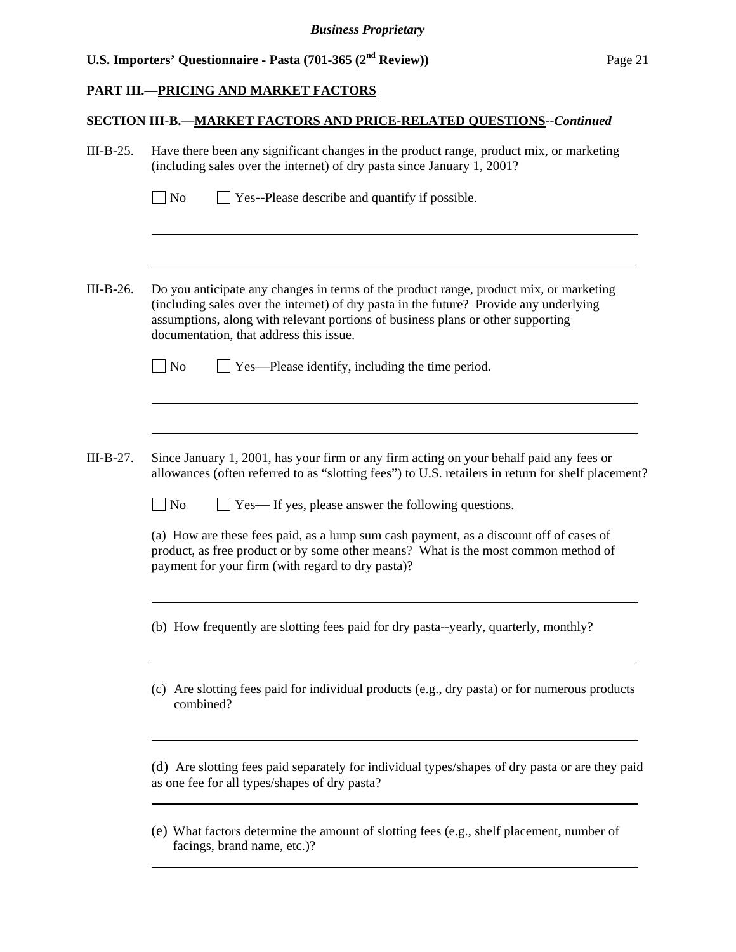#### **PART III.—PRICING AND MARKET FACTORS**

 $\overline{a}$ 

l

l

l

 $\overline{a}$ 

l

l

#### **SECTION III-B.—MARKET FACTORS AND PRICE-RELATED QUESTIONS--***Continued*

- III-B-25. Have there been any significant changes in the product range, product mix, or marketing (including sales over the internet) of dry pasta since January 1, 2001?
	- $\Box$  No  $\Box$  Yes--Please describe and quantify if possible.
- III-B-26. Do you anticipate any changes in terms of the product range, product mix, or marketing (including sales over the internet) of dry pasta in the future? Provide any underlying assumptions, along with relevant portions of business plans or other supporting documentation, that address this issue.
	- $\Box$  No  $\Box$  Yes—Please identify, including the time period.
- III-B-27. Since January 1, 2001, has your firm or any firm acting on your behalf paid any fees or allowances (often referred to as "slotting fees") to U.S. retailers in return for shelf placement?

 $\Box$  No  $\Box$  Yes— If yes, please answer the following questions.

(a) How are these fees paid, as a lump sum cash payment, as a discount off of cases of product, as free product or by some other means? What is the most common method of payment for your firm (with regard to dry pasta)?

(b) How frequently are slotting fees paid for dry pasta--yearly, quarterly, monthly?

(c) Are slotting fees paid for individual products (e.g., dry pasta) or for numerous products combined?

(d) Are slotting fees paid separately for individual types/shapes of dry pasta or are they paid as one fee for all types/shapes of dry pasta?

(e) What factors determine the amount of slotting fees (e.g., shelf placement, number of facings, brand name, etc.)?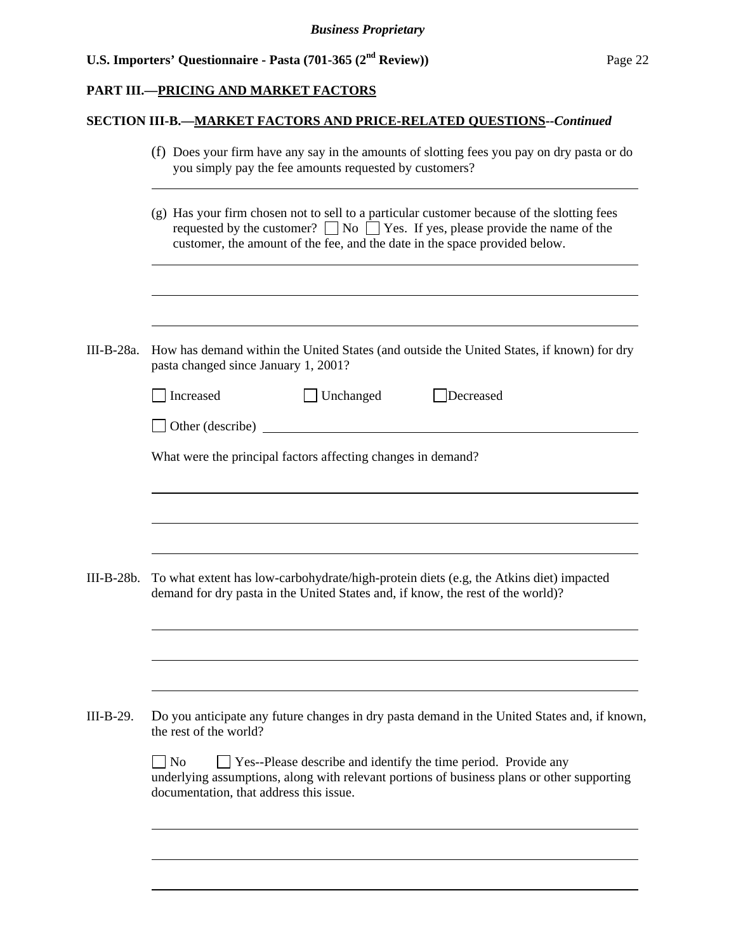# **PART III.—PRICING AND MARKET FACTORS**

# **SECTION III-B.—MARKET FACTORS AND PRICE-RELATED QUESTIONS--***Continued*

|              | (f) Does your firm have any say in the amounts of slotting fees you pay on dry pasta or do<br>you simply pay the fee amounts requested by customers?                                                                                                                |  |  |  |  |
|--------------|---------------------------------------------------------------------------------------------------------------------------------------------------------------------------------------------------------------------------------------------------------------------|--|--|--|--|
|              | (g) Has your firm chosen not to sell to a particular customer because of the slotting fees<br>requested by the customer? $\Box$ No $\Box$ Yes. If yes, please provide the name of the<br>customer, the amount of the fee, and the date in the space provided below. |  |  |  |  |
| III-B-28a.   | How has demand within the United States (and outside the United States, if known) for dry<br>pasta changed since January 1, 2001?                                                                                                                                   |  |  |  |  |
|              | Increased<br>Unchanged<br>Decreased                                                                                                                                                                                                                                 |  |  |  |  |
|              | <u> 1980 - Jan Barbara Barat, prima a</u><br>$\Box$ Other (describe)                                                                                                                                                                                                |  |  |  |  |
|              | What were the principal factors affecting changes in demand?                                                                                                                                                                                                        |  |  |  |  |
|              |                                                                                                                                                                                                                                                                     |  |  |  |  |
|              |                                                                                                                                                                                                                                                                     |  |  |  |  |
| $III-B-28b.$ | To what extent has low-carbohydrate/high-protein diets (e.g, the Atkins diet) impacted<br>demand for dry pasta in the United States and, if know, the rest of the world)?                                                                                           |  |  |  |  |
|              |                                                                                                                                                                                                                                                                     |  |  |  |  |
| III-B-29.    | Do you anticipate any future changes in dry pasta demand in the United States and, if known,<br>the rest of the world?                                                                                                                                              |  |  |  |  |
|              | □ Yes--Please describe and identify the time period. Provide any<br>$\Box$ No<br>underlying assumptions, along with relevant portions of business plans or other supporting<br>documentation, that address this issue.                                              |  |  |  |  |
|              |                                                                                                                                                                                                                                                                     |  |  |  |  |
|              |                                                                                                                                                                                                                                                                     |  |  |  |  |
|              |                                                                                                                                                                                                                                                                     |  |  |  |  |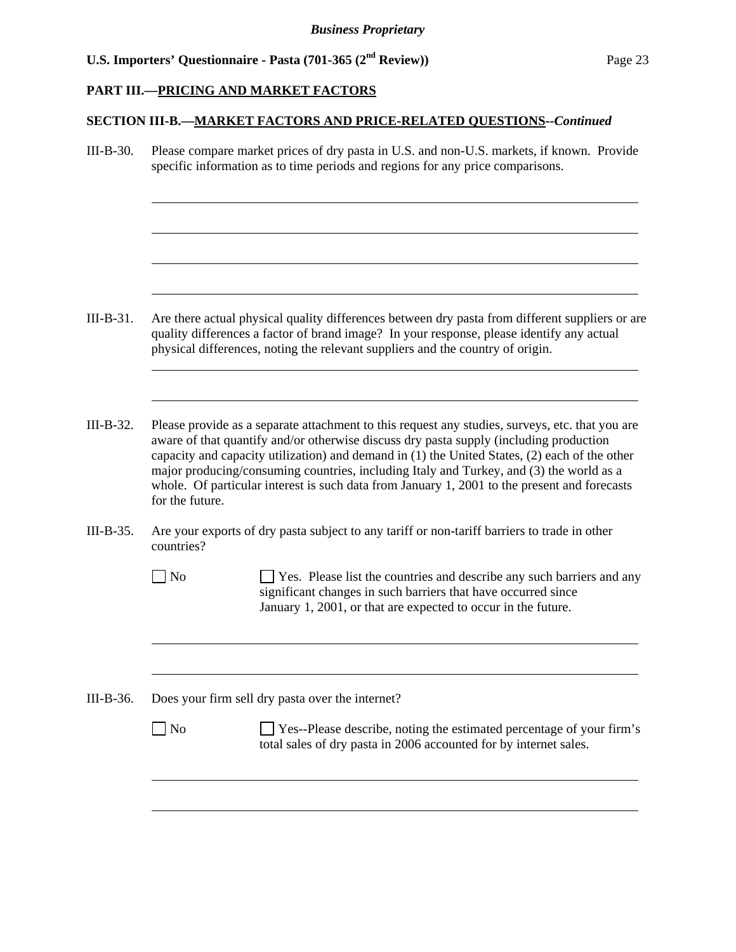### **PART III.—PRICING AND MARKET FACTORS**

l

l

l

l

### **SECTION III-B.—MARKET FACTORS AND PRICE-RELATED QUESTIONS--***Continued*

III-B-30. Please compare market prices of dry pasta in U.S. and non-U.S. markets, if known. Provide specific information as to time periods and regions for any price comparisons.

- III-B-31. Are there actual physical quality differences between dry pasta from different suppliers or are quality differences a factor of brand image? In your response, please identify any actual physical differences, noting the relevant suppliers and the country of origin.
- III-B-32. Please provide as a separate attachment to this request any studies, surveys, etc. that you are aware of that quantify and/or otherwise discuss dry pasta supply (including production capacity and capacity utilization) and demand in (1) the United States, (2) each of the other major producing/consuming countries, including Italy and Turkey, and (3) the world as a whole. Of particular interest is such data from January 1, 2001 to the present and forecasts for the future.
- III-B-35. Are your exports of dry pasta subject to any tariff or non-tariff barriers to trade in other countries?
	- No Section 1 Yes. Please list the countries and describe any such barriers and any significant changes in such barriers that have occurred since January 1, 2001, or that are expected to occur in the future.
- III-B-36. Does your firm sell dry pasta over the internet?
	- $\Box$  No  $\Box$  Yes--Please describe, noting the estimated percentage of your firm's total sales of dry pasta in 2006 accounted for by internet sales.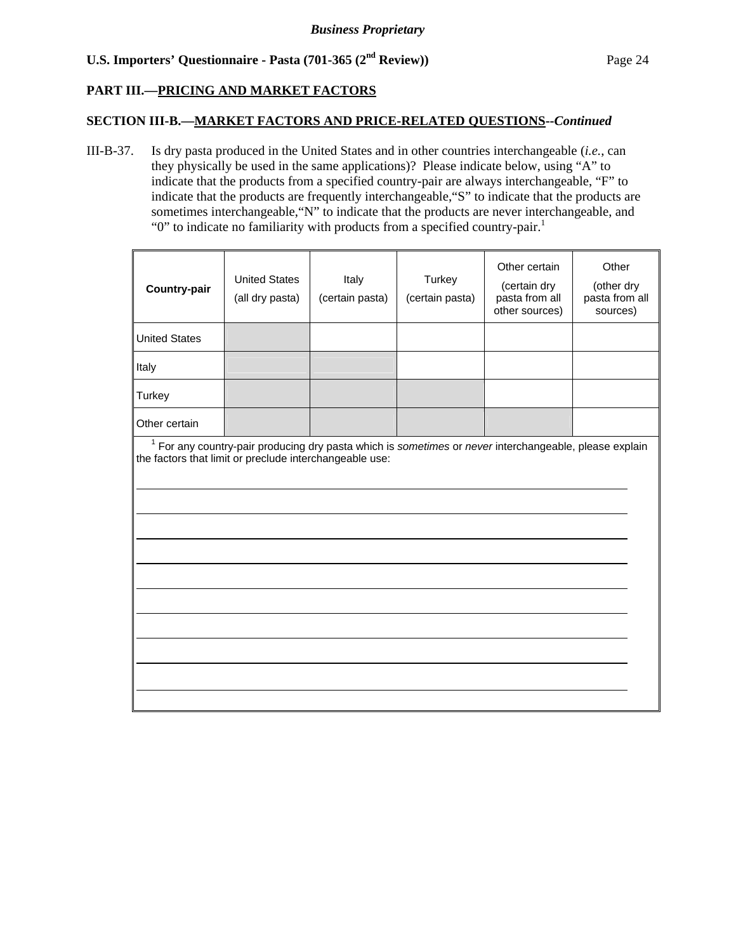# **PART III.—PRICING AND MARKET FACTORS**

### **SECTION III-B.—MARKET FACTORS AND PRICE-RELATED QUESTIONS--***Continued*

III-B-37. Is dry pasta produced in the United States and in other countries interchangeable (*i.e.*, can they physically be used in the same applications)? Please indicate below, using "A" to indicate that the products from a specified country-pair are always interchangeable, "F" to indicate that the products are frequently interchangeable,"S" to indicate that the products are sometimes interchangeable,"N" to indicate that the products are never interchangeable, and " $0$ " to indicate no familiarity with products from a specified country-pair.<sup>1</sup>

| <b>Country-pair</b>                                                                                                                                                          | <b>United States</b><br>(all dry pasta) | Italy<br>(certain pasta) | Turkey<br>(certain pasta) | Other certain<br>(certain dry<br>pasta from all<br>other sources) | Other<br>(other dry<br>pasta from all<br>sources) |  |
|------------------------------------------------------------------------------------------------------------------------------------------------------------------------------|-----------------------------------------|--------------------------|---------------------------|-------------------------------------------------------------------|---------------------------------------------------|--|
| <b>United States</b>                                                                                                                                                         |                                         |                          |                           |                                                                   |                                                   |  |
| Italy                                                                                                                                                                        |                                         |                          |                           |                                                                   |                                                   |  |
| Turkey                                                                                                                                                                       |                                         |                          |                           |                                                                   |                                                   |  |
| Other certain                                                                                                                                                                |                                         |                          |                           |                                                                   |                                                   |  |
| <sup>1</sup> For any country-pair producing dry pasta which is sometimes or never interchangeable, please explain<br>the factors that limit or preclude interchangeable use: |                                         |                          |                           |                                                                   |                                                   |  |
|                                                                                                                                                                              |                                         |                          |                           |                                                                   |                                                   |  |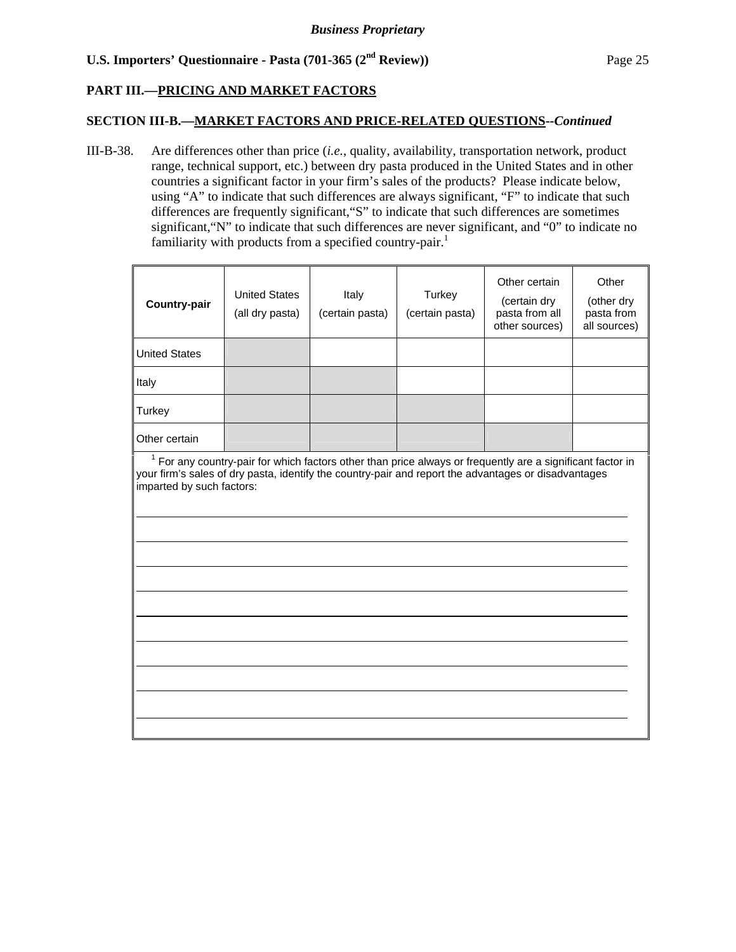# **PART III.—PRICING AND MARKET FACTORS**

#### **SECTION III-B.—MARKET FACTORS AND PRICE-RELATED QUESTIONS--***Continued*

III-B-38. Are differences other than price (*i.e.*, quality, availability, transportation network, product range, technical support, etc.) between dry pasta produced in the United States and in other countries a significant factor in your firm's sales of the products? Please indicate below, using "A" to indicate that such differences are always significant, "F" to indicate that such differences are frequently significant,"S" to indicate that such differences are sometimes significant,"N" to indicate that such differences are never significant, and "0" to indicate no familiarity with products from a specified country-pair.<sup>1</sup>

| <b>Country-pair</b>                                                                                                                                                                                                                               | <b>United States</b><br>(all dry pasta) | Italy<br>(certain pasta) | Turkey<br>(certain pasta) | Other certain<br>(certain dry<br>pasta from all<br>other sources) | Other<br>(other dry<br>pasta from<br>all sources) |  |
|---------------------------------------------------------------------------------------------------------------------------------------------------------------------------------------------------------------------------------------------------|-----------------------------------------|--------------------------|---------------------------|-------------------------------------------------------------------|---------------------------------------------------|--|
| <b>United States</b>                                                                                                                                                                                                                              |                                         |                          |                           |                                                                   |                                                   |  |
| Italy                                                                                                                                                                                                                                             |                                         |                          |                           |                                                                   |                                                   |  |
| Turkey                                                                                                                                                                                                                                            |                                         |                          |                           |                                                                   |                                                   |  |
| Other certain                                                                                                                                                                                                                                     |                                         |                          |                           |                                                                   |                                                   |  |
| $1$ For any country-pair for which factors other than price always or frequently are a significant factor in<br>your firm's sales of dry pasta, identify the country-pair and report the advantages or disadvantages<br>imparted by such factors: |                                         |                          |                           |                                                                   |                                                   |  |